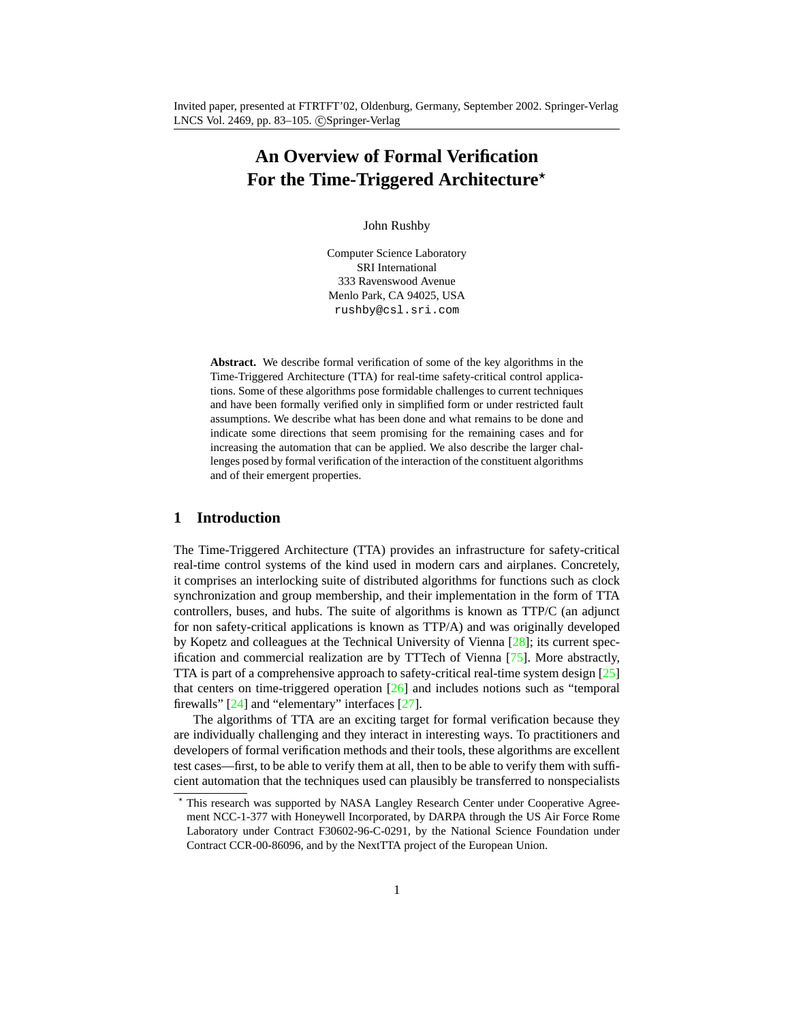# <span id="page-0-0"></span>**An Overview of Formal Verification For the Time-Triggered Architecture**?

John Rushby

Computer Science Laboratory SRI International 333 Ravenswood Avenue Menlo Park, CA 94025, USA rushby@csl.sri.com

**Abstract.** We describe formal verification of some of the key algorithms in the Time-Triggered Architecture (TTA) for real-time safety-critical control applications. Some of these algorithms pose formidable challenges to current techniques and have been formally verified only in simplified form or under restricted fault assumptions. We describe what has been done and what remains to be done and indicate some directions that seem promising for the remaining cases and for increasing the automation that can be applied. We also describe the larger challenges posed by formal verification of the interaction of the constituent algorithms and of their emergent properties.

# **1 Introduction**

The Time-Triggered Architecture (TTA) provides an infrastructure for safety-critical real-time control systems of the kind used in modern cars and airplanes. Concretely, it comprises an interlocking suite of distributed algorithms for functions such as clock synchronization and group membership, and their implementation in the form of TTA controllers, buses, and hubs. The suite of algorithms is known as TTP/C (an adjunct for non safety-critical applications is known as TTP/A) and was originally developed by Kopetz and colleagues at the Technical University of Vienna [\[28](#page-18-0)]; its current specification and commercial realization are by TTTech of Vienna [[75\]](#page-21-0). More abstractly, TTA is part of a comprehensive approach to safety-critical real-time system design [\[25](#page-18-1)] that centers on time-triggered operation [\[26](#page-18-2)] and includes notions such as "temporal firewalls" [[24\]](#page-18-3) and "elementary" interfaces [[27\]](#page-18-4).

The algorithms of TTA are an exciting target for formal verification because they are individually challenging and they interact in interesting ways. To practitioners and developers of formal verification methods and their tools, these algorithms are excellent test cases—first, to be able to verify them at all, then to be able to verify them with sufficient automation that the techniques used can plausibly be transferred to nonspecialists

This research was supported by NASA Langley Research Center under Cooperative Agreement NCC-1-377 with Honeywell Incorporated, by DARPA through the US Air Force Rome Laboratory under Contract F30602-96-C-0291, by the National Science Foundation under Contract CCR-00-86096, and by the NextTTA project of the European Union.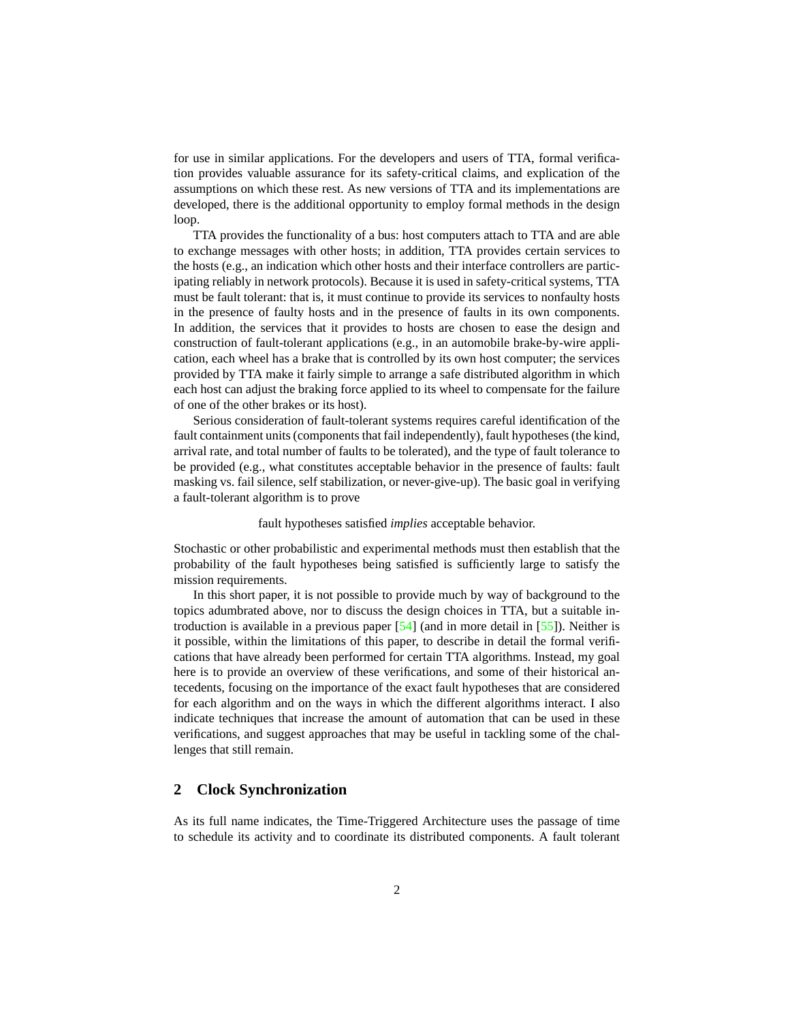<span id="page-1-0"></span>for use in similar applications. For the developers and users of TTA, formal verification provides valuable assurance for its safety-critical claims, and explication of the assumptions on which these rest. As new versions of TTA and its implementations are developed, there is the additional opportunity to employ formal methods in the design loop.

TTA provides the functionality of a bus: host computers attach to TTA and are able to exchange messages with other hosts; in addition, TTA provides certain services to the hosts (e.g., an indication which other hosts and their interface controllers are participating reliably in network protocols). Because it is used in safety-critical systems, TTA must be fault tolerant: that is, it must continue to provide its services to nonfaulty hosts in the presence of faulty hosts and in the presence of faults in its own components. In addition, the services that it provides to hosts are chosen to ease the design and construction of fault-tolerant applications (e.g., in an automobile brake-by-wire application, each wheel has a brake that is controlled by its own host computer; the services provided by TTA make it fairly simple to arrange a safe distributed algorithm in which each host can adjust the braking force applied to its wheel to compensate for the failure of one of the other brakes or its host).

Serious consideration of fault-tolerant systems requires careful identification of the fault containment units (components that fail independently), fault hypotheses (the kind, arrival rate, and total number of faults to be tolerated), and the type of fault tolerance to be provided (e.g., what constitutes acceptable behavior in the presence of faults: fault masking vs. fail silence, self stabilization, or never-give-up). The basic goal in verifying a fault-tolerant algorithm is to prove

#### fault hypotheses satisfied *implies* acceptable behavior.

Stochastic or other probabilistic and experimental methods must then establish that the probability of the fault hypotheses being satisfied is sufficiently large to satisfy the mission requirements.

In this short paper, it is not possible to provide much by way of background to the topics adumbrated above, nor to discuss the design choices in TTA, but a suitable introduction is available in a previous paper  $[54]$  $[54]$  (and in more detail in  $[55]$  $[55]$ ). Neither is it possible, within the limitations of this paper, to describe in detail the formal verifications that have already been performed for certain TTA algorithms. Instead, my goal here is to provide an overview of these verifications, and some of their historical antecedents, focusing on the importance of the exact fault hypotheses that are considered for each algorithm and on the ways in which the different algorithms interact. I also indicate techniques that increase the amount of automation that can be used in these verifications, and suggest approaches that may be useful in tackling some of the challenges that still remain.

### **2 Clock Synchronization**

As its full name indicates, the Time-Triggered Architecture uses the passage of time to schedule its activity and to coordinate its distributed components. A fault tolerant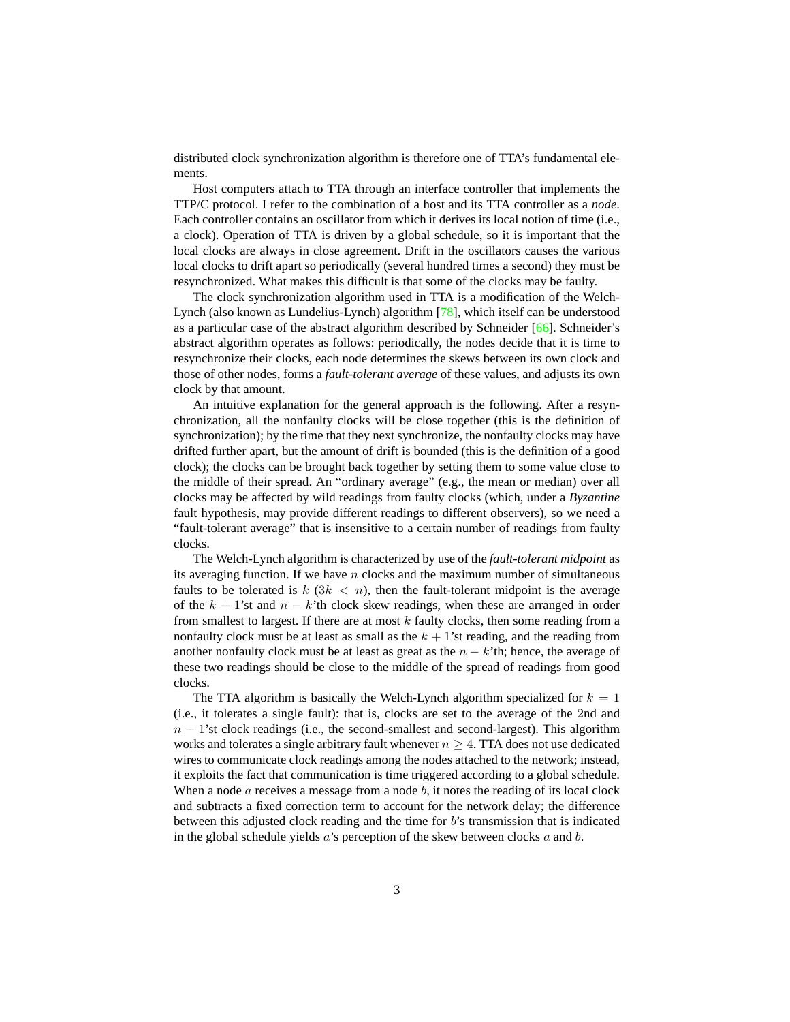<span id="page-2-0"></span>distributed clock synchronization algorithm is therefore one of TTA's fundamental elements.

Host computers attach to TTA through an interface controller that implements the TTP/C protocol. I refer to the combination of a host and its TTA controller as a *node*. Each controller contains an oscillator from which it derives its local notion of time (i.e., a clock). Operation of TTA is driven by a global schedule, so it is important that the local clocks are always in close agreement. Drift in the oscillators causes the various local clocks to drift apart so periodically (several hundred times a second) they must be resynchronized. What makes this difficult is that some of the clocks may be faulty.

The clock synchronization algorithm used in TTA is a modification of the Welch-Lynch (also known as Lundelius-Lynch) algorithm [[78](#page-21-1)], which itself can be understood as a particular case of the abstract algorithm described by Schneider [\[66](#page-21-2)]. Schneider's abstract algorithm operates as follows: periodically, the nodes decide that it is time to resynchronize their clocks, each node determines the skews between its own clock and those of other nodes, forms a *fault-tolerant average* of these values, and adjusts its own clock by that amount.

An intuitive explanation for the general approach is the following. After a resynchronization, all the nonfaulty clocks will be close together (this is the definition of synchronization); by the time that they next synchronize, the nonfaulty clocks may have drifted further apart, but the amount of drift is bounded (this is the definition of a good clock); the clocks can be brought back together by setting them to some value close to the middle of their spread. An "ordinary average" (e.g., the mean or median) over all clocks may be affected by wild readings from faulty clocks (which, under a *Byzantine* fault hypothesis, may provide different readings to different observers), so we need a "fault-tolerant average" that is insensitive to a certain number of readings from faulty clocks.

The Welch-Lynch algorithm is characterized by use of the *fault-tolerant midpoint* as its averaging function. If we have  $n$  clocks and the maximum number of simultaneous faults to be tolerated is  $k$  ( $3k < n$ ), then the fault-tolerant midpoint is the average of the  $k + 1$ 'st and  $n - k$ 'th clock skew readings, when these are arranged in order from smallest to largest. If there are at most  $k$  faulty clocks, then some reading from a nonfaulty clock must be at least as small as the  $k + 1$ 'st reading, and the reading from another nonfaulty clock must be at least as great as the  $n - k'$ th; hence, the average of these two readings should be close to the middle of the spread of readings from good clocks.

The TTA algorithm is basically the Welch-Lynch algorithm specialized for  $k = 1$ (i.e., it tolerates a single fault): that is, clocks are set to the average of the 2nd and  $n-1$ 'st clock readings (i.e., the second-smallest and second-largest). This algorithm works and tolerates a single arbitrary fault whenever  $n \geq 4$ . TTA does not use dedicated wires to communicate clock readings among the nodes attached to the network; instead, it exploits the fact that communication is time triggered according to a global schedule. When a node  $\alpha$  receives a message from a node  $\delta$ , it notes the reading of its local clock and subtracts a fixed correction term to account for the network delay; the difference between this adjusted clock reading and the time for b's transmission that is indicated in the global schedule yields  $a$ 's perception of the skew between clocks  $a$  and  $b$ .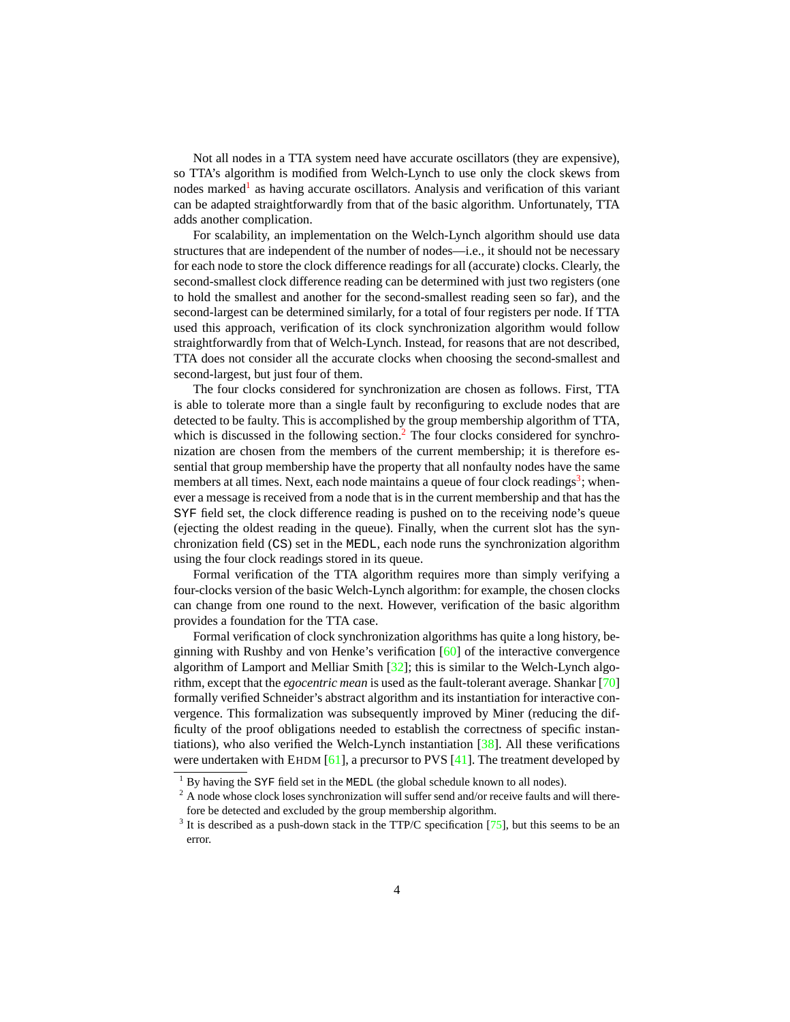<span id="page-3-3"></span>Not all nodes in a TTA system need have accurate oscillators (they are expensive), so TTA's algorithm is modified from Welch-Lynch to use only the clock skews from nodes marked<sup>[1](#page-3-0)</sup> as having accurate oscillators. Analysis and verification of this variant can be adapted straightforwardly from that of the basic algorithm. Unfortunately, TTA adds another complication.

For scalability, an implementation on the Welch-Lynch algorithm should use data structures that are independent of the number of nodes—i.e., it should not be necessary for each node to store the clock difference readings for all (accurate) clocks. Clearly, the second-smallest clock difference reading can be determined with just two registers (one to hold the smallest and another for the second-smallest reading seen so far), and the second-largest can be determined similarly, for a total of four registers per node. If TTA used this approach, verification of its clock synchronization algorithm would follow straightforwardly from that of Welch-Lynch. Instead, for reasons that are not described, TTA does not consider all the accurate clocks when choosing the second-smallest and second-largest, but just four of them.

The four clocks considered for synchronization are chosen as follows. First, TTA is able to tolerate more than a single fault by reconfiguring to exclude nodes that are detected to be faulty. This is accomplished by the group membership algorithm of TTA, which is discussed in the following section.<sup>[2](#page-3-1)</sup> The four clocks considered for synchronization are chosen from the members of the current membership; it is therefore essential that group membership have the property that all nonfaulty nodes have the same members at all times. Next, each node maintains a queue of four clock readings<sup>[3](#page-3-2)</sup>; whenever a message is received from a node that is in the current membership and that has the SYF field set, the clock difference reading is pushed on to the receiving node's queue (ejecting the oldest reading in the queue). Finally, when the current slot has the synchronization field (CS) set in the MEDL, each node runs the synchronization algorithm using the four clock readings stored in its queue.

Formal verification of the TTA algorithm requires more than simply verifying a four-clocks version of the basic Welch-Lynch algorithm: for example, the chosen clocks can change from one round to the next. However, verification of the basic algorithm provides a foundation for the TTA case.

Formal verification of clock synchronization algorithms has quite a long history, beginning with Rushby and von Henke's verification [[60\]](#page-20-2) of the interactive convergence algorithm of Lamport and Melliar Smith [\[32](#page-19-0)]; this is similar to the Welch-Lynch algorithm, except that the *egocentric mean* is used as the fault-tolerant average. Shankar [\[70](#page-21-3)] formally verified Schneider's abstract algorithm and its instantiation for interactive convergence. This formalization was subsequently improved by Miner (reducing the difficulty of the proof obligations needed to establish the correctness of specific instantiations), who also verified the Welch-Lynch instantiation  $[38]$  $[38]$ . All these verifications were undertaken with EHDM [[61\]](#page-20-3), a precursor to PVS [[41\]](#page-19-2). The treatment developed by

<span id="page-3-0"></span> $1$  By having the SYF field set in the MEDL (the global schedule known to all nodes).

<span id="page-3-1"></span> $2A$  node whose clock loses synchronization will suffer send and/or receive faults and will therefore be detected and excluded by the group membership algorithm.

<span id="page-3-2"></span><sup>&</sup>lt;sup>3</sup> It is described as a push-down stack in the TTP/C specification [\[75](#page-21-0)], but this seems to be an error.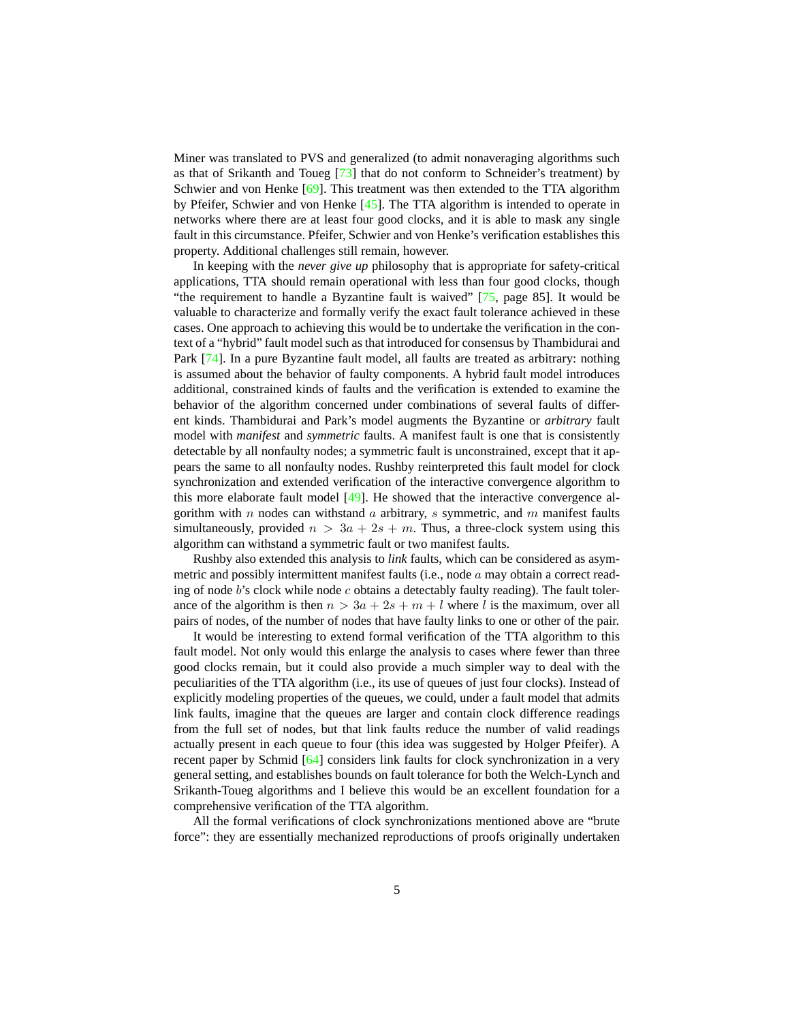<span id="page-4-0"></span>Miner was translated to PVS and generalized (to admit nonaveraging algorithms such as that of Srikanth and Toueg [\[73](#page-21-4)] that do not conform to Schneider's treatment) by Schwier and von Henke [[69](#page-21-5)]. This treatment was then extended to the TTA algorithm by Pfeifer, Schwier and von Henke [[45\]](#page-19-3). The TTA algorithm is intended to operate in networks where there are at least four good clocks, and it is able to mask any single fault in this circumstance. Pfeifer, Schwier and von Henke's verification establishes this property. Additional challenges still remain, however.

In keeping with the *never give up* philosophy that is appropriate for safety-critical applications, TTA should remain operational with less than four good clocks, though "the requirement to handle a Byzantine fault is waived" [\[75](#page-21-0), page 85]. It would be valuable to characterize and formally verify the exact fault tolerance achieved in these cases. One approach to achieving this would be to undertake the verification in the context of a "hybrid" fault model such as that introduced for consensus by Thambidurai and Park [\[74](#page-21-6)]. In a pure Byzantine fault model, all faults are treated as arbitrary: nothing is assumed about the behavior of faulty components. A hybrid fault model introduces additional, constrained kinds of faults and the verification is extended to examine the behavior of the algorithm concerned under combinations of several faults of different kinds. Thambidurai and Park's model augments the Byzantine or *arbitrary* fault model with *manifest* and *symmetric* faults. A manifest fault is one that is consistently detectable by all nonfaulty nodes; a symmetric fault is unconstrained, except that it appears the same to all nonfaulty nodes. Rushby reinterpreted this fault model for clock synchronization and extended verification of the interactive convergence algorithm to this more elaborate fault model  $[49]$  $[49]$ . He showed that the interactive convergence algorithm with n nodes can withstand a arbitrary, s symmetric, and  $m$  manifest faults simultaneously, provided  $n > 3a + 2s + m$ . Thus, a three-clock system using this algorithm can withstand a symmetric fault or two manifest faults.

Rushby also extended this analysis to *link* faults, which can be considered as asymmetric and possibly intermittent manifest faults (i.e., node a may obtain a correct reading of node  $b$ 's clock while node  $c$  obtains a detectably faulty reading). The fault tolerance of the algorithm is then  $n > 3a + 2s + m + l$  where l is the maximum, over all pairs of nodes, of the number of nodes that have faulty links to one or other of the pair.

It would be interesting to extend formal verification of the TTA algorithm to this fault model. Not only would this enlarge the analysis to cases where fewer than three good clocks remain, but it could also provide a much simpler way to deal with the peculiarities of the TTA algorithm (i.e., its use of queues of just four clocks). Instead of explicitly modeling properties of the queues, we could, under a fault model that admits link faults, imagine that the queues are larger and contain clock difference readings from the full set of nodes, but that link faults reduce the number of valid readings actually present in each queue to four (this idea was suggested by Holger Pfeifer). A recent paper by Schmid [\[64](#page-20-4)] considers link faults for clock synchronization in a very general setting, and establishes bounds on fault tolerance for both the Welch-Lynch and Srikanth-Toueg algorithms and I believe this would be an excellent foundation for a comprehensive verification of the TTA algorithm.

All the formal verifications of clock synchronizations mentioned above are "brute force": they are essentially mechanized reproductions of proofs originally undertaken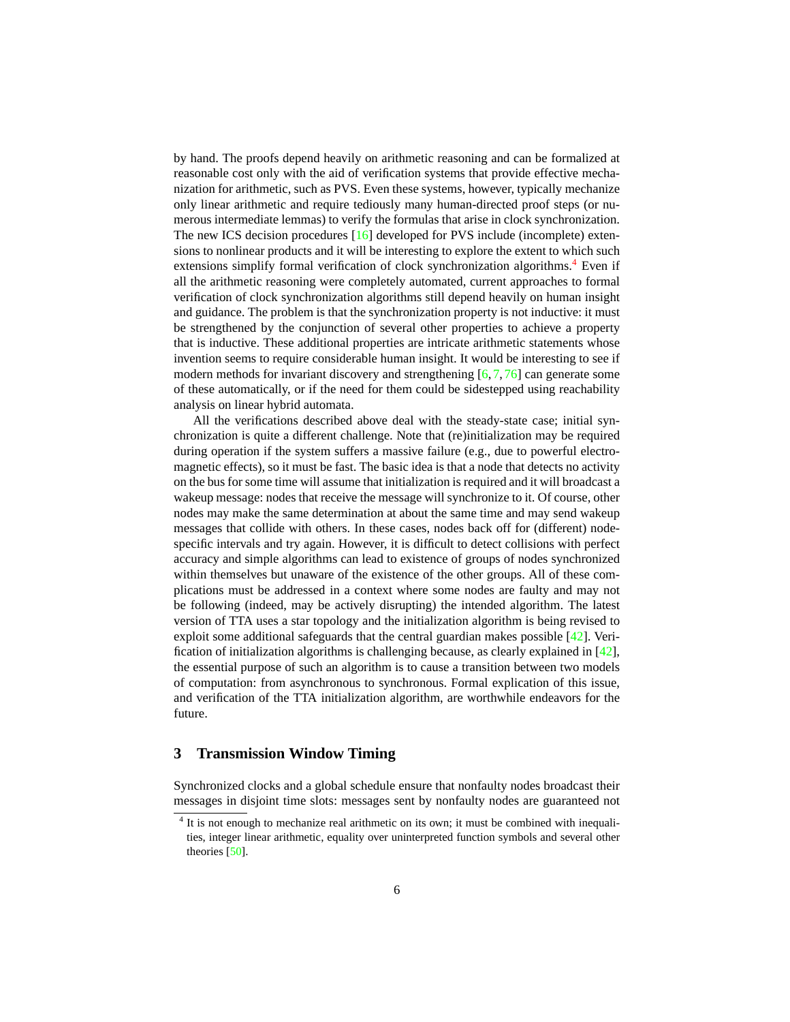<span id="page-5-1"></span>by hand. The proofs depend heavily on arithmetic reasoning and can be formalized at reasonable cost only with the aid of verification systems that provide effective mechanization for arithmetic, such as PVS. Even these systems, however, typically mechanize only linear arithmetic and require tediously many human-directed proof steps (or numerous intermediate lemmas) to verify the formulas that arise in clock synchronization. The new ICS decision procedures [[16\]](#page-18-5) developed for PVS include (incomplete) extensions to nonlinear products and it will be interesting to explore the extent to which such extensions simplify formal verification of clock synchronization algorithms.<sup>[4](#page-5-0)</sup> Even if all the arithmetic reasoning were completely automated, current approaches to formal verification of clock synchronization algorithms still depend heavily on human insight and guidance. The problem is that the synchronization property is not inductive: it must be strengthened by the conjunction of several other properties to achieve a property that is inductive. These additional properties are intricate arithmetic statements whose invention seems to require considerable human insight. It would be interesting to see if modern methods for invariant discovery and strengthening  $[6, 7, 76]$  $[6, 7, 76]$  $[6, 7, 76]$  $[6, 7, 76]$  $[6, 7, 76]$  $[6, 7, 76]$  can generate some of these automatically, or if the need for them could be sidestepped using reachability analysis on linear hybrid automata.

All the verifications described above deal with the steady-state case; initial synchronization is quite a different challenge. Note that (re)initialization may be required during operation if the system suffers a massive failure (e.g., due to powerful electromagnetic effects), so it must be fast. The basic idea is that a node that detects no activity on the bus for some time will assume that initialization is required and it will broadcast a wakeup message: nodes that receive the message will synchronize to it. Of course, other nodes may make the same determination at about the same time and may send wakeup messages that collide with others. In these cases, nodes back off for (different) nodespecific intervals and try again. However, it is difficult to detect collisions with perfect accuracy and simple algorithms can lead to existence of groups of nodes synchronized within themselves but unaware of the existence of the other groups. All of these complications must be addressed in a context where some nodes are faulty and may not be following (indeed, may be actively disrupting) the intended algorithm. The latest version of TTA uses a star topology and the initialization algorithm is being revised to exploit some additional safeguards that the central guardian makes possible  $[42]$  $[42]$ . Verification of initialization algorithms is challenging because, as clearly explained in [[42\]](#page-19-5), the essential purpose of such an algorithm is to cause a transition between two models of computation: from asynchronous to synchronous. Formal explication of this issue, and verification of the TTA initialization algorithm, are worthwhile endeavors for the future.

## **3 Transmission Window Timing**

Synchronized clocks and a global schedule ensure that nonfaulty nodes broadcast their messages in disjoint time slots: messages sent by nonfaulty nodes are guaranteed not

<span id="page-5-0"></span><sup>&</sup>lt;sup>4</sup> It is not enough to mechanize real arithmetic on its own; it must be combined with inequalities, integer linear arithmetic, equality over uninterpreted function symbols and several other theories [\[50](#page-20-5)].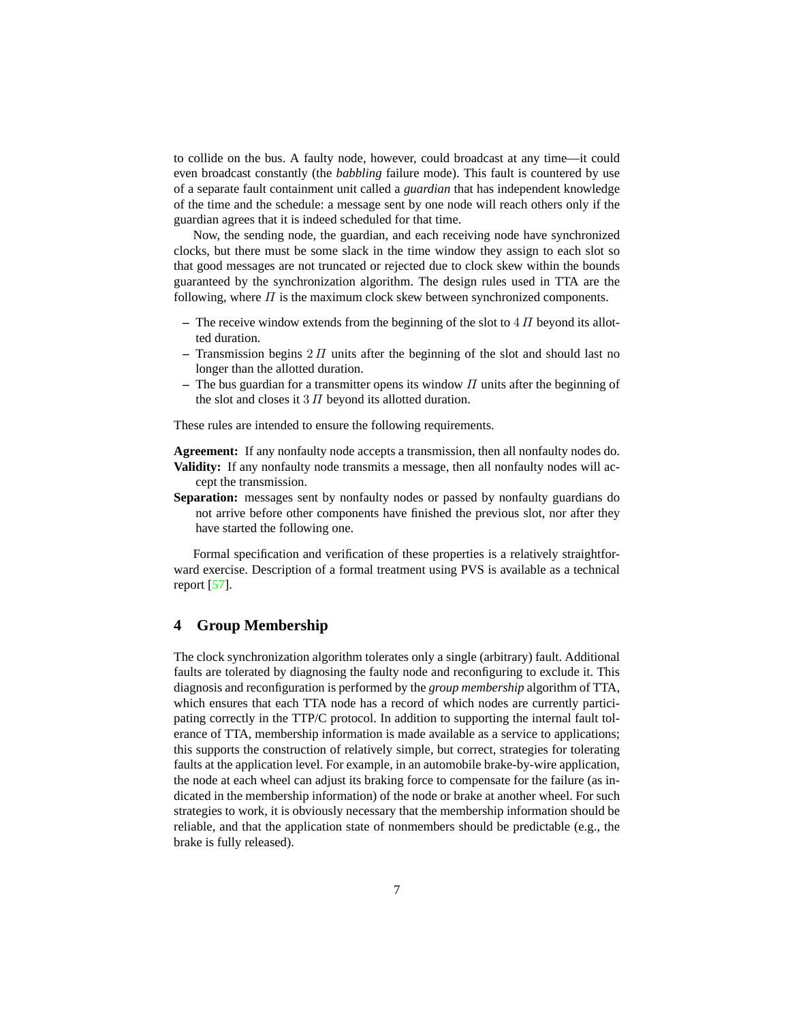<span id="page-6-0"></span>to collide on the bus. A faulty node, however, could broadcast at any time—it could even broadcast constantly (the *babbling* failure mode). This fault is countered by use of a separate fault containment unit called a *guardian* that has independent knowledge of the time and the schedule: a message sent by one node will reach others only if the guardian agrees that it is indeed scheduled for that time.

Now, the sending node, the guardian, and each receiving node have synchronized clocks, but there must be some slack in the time window they assign to each slot so that good messages are not truncated or rejected due to clock skew within the bounds guaranteed by the synchronization algorithm. The design rules used in TTA are the following, where  $\Pi$  is the maximum clock skew between synchronized components.

- The receive window extends from the beginning of the slot to  $4 \Pi$  beyond its allotted duration.
- $-$  Transmission begins  $2 \Pi$  units after the beginning of the slot and should last no longer than the allotted duration.
- **–** The bus guardian for a transmitter opens its window Π units after the beginning of the slot and closes it  $3 \Pi$  beyond its allotted duration.

These rules are intended to ensure the following requirements.

**Agreement:** If any nonfaulty node accepts a transmission, then all nonfaulty nodes do. **Validity:** If any nonfaulty node transmits a message, then all nonfaulty nodes will accept the transmission.

**Separation:** messages sent by nonfaulty nodes or passed by nonfaulty guardians do not arrive before other components have finished the previous slot, nor after they have started the following one.

Formal specification and verification of these properties is a relatively straightforward exercise. Description of a formal treatment using PVS is available as a technical report [\[57](#page-20-6)].

## **4 Group Membership**

The clock synchronization algorithm tolerates only a single (arbitrary) fault. Additional faults are tolerated by diagnosing the faulty node and reconfiguring to exclude it. This diagnosis and reconfiguration is performed by the *group membership* algorithm of TTA, which ensures that each TTA node has a record of which nodes are currently participating correctly in the TTP/C protocol. In addition to supporting the internal fault tolerance of TTA, membership information is made available as a service to applications; this supports the construction of relatively simple, but correct, strategies for tolerating faults at the application level. For example, in an automobile brake-by-wire application, the node at each wheel can adjust its braking force to compensate for the failure (as indicated in the membership information) of the node or brake at another wheel. For such strategies to work, it is obviously necessary that the membership information should be reliable, and that the application state of nonmembers should be predictable (e.g., the brake is fully released).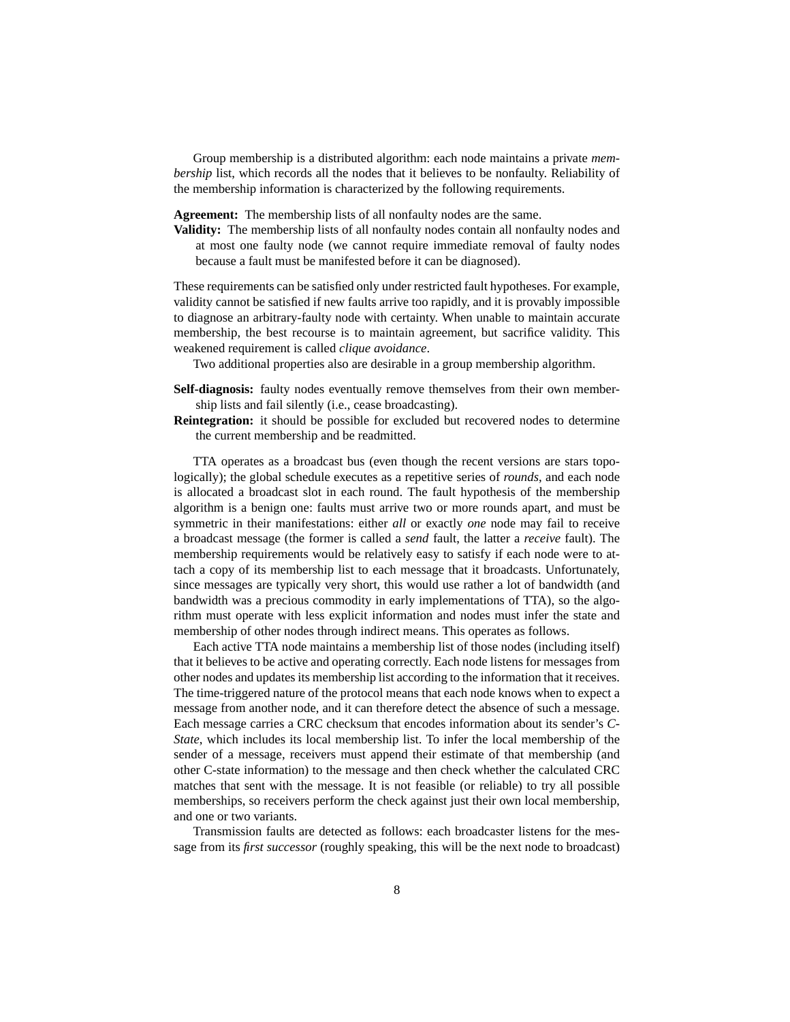Group membership is a distributed algorithm: each node maintains a private *membership* list, which records all the nodes that it believes to be nonfaulty. Reliability of the membership information is characterized by the following requirements.

**Agreement:** The membership lists of all nonfaulty nodes are the same.

**Validity:** The membership lists of all nonfaulty nodes contain all nonfaulty nodes and at most one faulty node (we cannot require immediate removal of faulty nodes because a fault must be manifested before it can be diagnosed).

These requirements can be satisfied only under restricted fault hypotheses. For example, validity cannot be satisfied if new faults arrive too rapidly, and it is provably impossible to diagnose an arbitrary-faulty node with certainty. When unable to maintain accurate membership, the best recourse is to maintain agreement, but sacrifice validity. This weakened requirement is called *clique avoidance*.

Two additional properties also are desirable in a group membership algorithm.

- **Self-diagnosis:** faulty nodes eventually remove themselves from their own membership lists and fail silently (i.e., cease broadcasting).
- **Reintegration:** it should be possible for excluded but recovered nodes to determine the current membership and be readmitted.

TTA operates as a broadcast bus (even though the recent versions are stars topologically); the global schedule executes as a repetitive series of *rounds*, and each node is allocated a broadcast slot in each round. The fault hypothesis of the membership algorithm is a benign one: faults must arrive two or more rounds apart, and must be symmetric in their manifestations: either *all* or exactly *one* node may fail to receive a broadcast message (the former is called a *send* fault, the latter a *receive* fault). The membership requirements would be relatively easy to satisfy if each node were to attach a copy of its membership list to each message that it broadcasts. Unfortunately, since messages are typically very short, this would use rather a lot of bandwidth (and bandwidth was a precious commodity in early implementations of TTA), so the algorithm must operate with less explicit information and nodes must infer the state and membership of other nodes through indirect means. This operates as follows.

Each active TTA node maintains a membership list of those nodes (including itself) that it believes to be active and operating correctly. Each node listens for messages from other nodes and updates its membership list according to the information that it receives. The time-triggered nature of the protocol means that each node knows when to expect a message from another node, and it can therefore detect the absence of such a message. Each message carries a CRC checksum that encodes information about its sender's *C-State*, which includes its local membership list. To infer the local membership of the sender of a message, receivers must append their estimate of that membership (and other C-state information) to the message and then check whether the calculated CRC matches that sent with the message. It is not feasible (or reliable) to try all possible memberships, so receivers perform the check against just their own local membership, and one or two variants.

Transmission faults are detected as follows: each broadcaster listens for the message from its *first successor* (roughly speaking, this will be the next node to broadcast)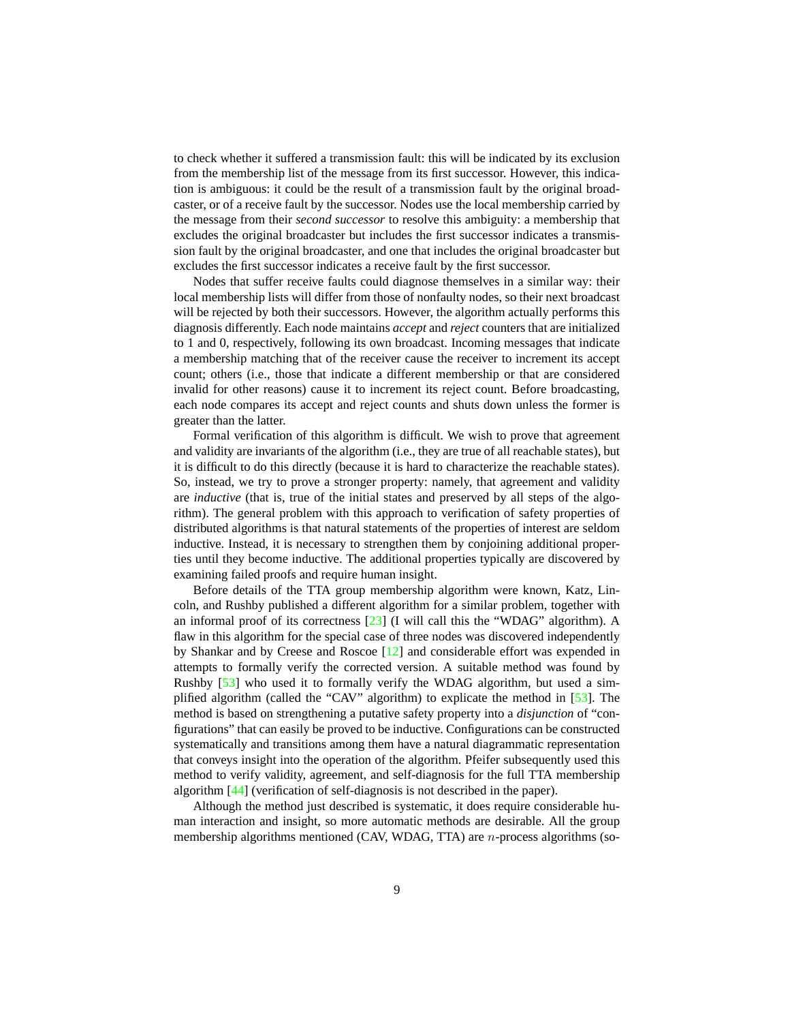<span id="page-8-0"></span>to check whether it suffered a transmission fault: this will be indicated by its exclusion from the membership list of the message from its first successor. However, this indication is ambiguous: it could be the result of a transmission fault by the original broadcaster, or of a receive fault by the successor. Nodes use the local membership carried by the message from their *second successor* to resolve this ambiguity: a membership that excludes the original broadcaster but includes the first successor indicates a transmission fault by the original broadcaster, and one that includes the original broadcaster but excludes the first successor indicates a receive fault by the first successor.

Nodes that suffer receive faults could diagnose themselves in a similar way: their local membership lists will differ from those of nonfaulty nodes, so their next broadcast will be rejected by both their successors. However, the algorithm actually performs this diagnosis differently. Each node maintains *accept* and *reject* counters that are initialized to 1 and 0, respectively, following its own broadcast. Incoming messages that indicate a membership matching that of the receiver cause the receiver to increment its accept count; others (i.e., those that indicate a different membership or that are considered invalid for other reasons) cause it to increment its reject count. Before broadcasting, each node compares its accept and reject counts and shuts down unless the former is greater than the latter.

Formal verification of this algorithm is difficult. We wish to prove that agreement and validity are invariants of the algorithm (i.e., they are true of all reachable states), but it is difficult to do this directly (because it is hard to characterize the reachable states). So, instead, we try to prove a stronger property: namely, that agreement and validity are *inductive* (that is, true of the initial states and preserved by all steps of the algorithm). The general problem with this approach to verification of safety properties of distributed algorithms is that natural statements of the properties of interest are seldom inductive. Instead, it is necessary to strengthen them by conjoining additional properties until they become inductive. The additional properties typically are discovered by examining failed proofs and require human insight.

Before details of the TTA group membership algorithm were known, Katz, Lincoln, and Rushby published a different algorithm for a similar problem, together with an informal proof of its correctness  $[23]$  $[23]$  (I will call this the "WDAG" algorithm). A flaw in this algorithm for the special case of three nodes was discovered independently by Shankar and by Creese and Roscoe [\[12](#page-17-2)] and considerable effort was expended in attempts to formally verify the corrected version. A suitable method was found by Rushby [\[53](#page-20-7)] who used it to formally verify the WDAG algorithm, but used a simplified algorithm (called the "CAV" algorithm) to explicate the method in [[53\]](#page-20-7). The method is based on strengthening a putative safety property into a *disjunction* of "configurations" that can easily be proved to be inductive. Configurations can be constructed systematically and transitions among them have a natural diagrammatic representation that conveys insight into the operation of the algorithm. Pfeifer subsequently used this method to verify validity, agreement, and self-diagnosis for the full TTA membership algorithm [\[44](#page-19-6)] (verification of self-diagnosis is not described in the paper).

Although the method just described is systematic, it does require considerable human interaction and insight, so more automatic methods are desirable. All the group membership algorithms mentioned (CAV, WDAG, TTA) are n-process algorithms (so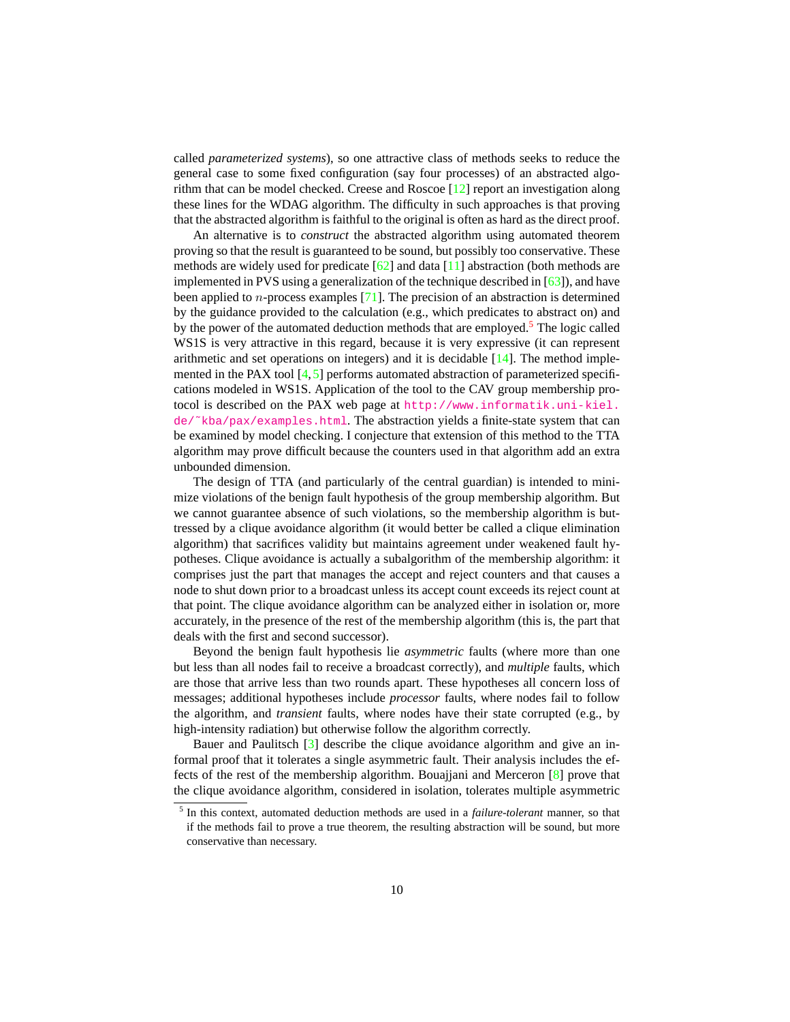<span id="page-9-1"></span>called *parameterized systems*), so one attractive class of methods seeks to reduce the general case to some fixed configuration (say four processes) of an abstracted algorithm that can be model checked. Creese and Roscoe [\[12](#page-17-2)] report an investigation along these lines for the WDAG algorithm. The difficulty in such approaches is that proving that the abstracted algorithm is faithful to the original is often as hard as the direct proof.

An alternative is to *construct* the abstracted algorithm using automated theorem proving so that the result is guaranteed to be sound, but possibly too conservative. These methods are widely used for predicate [\[62](#page-20-8)] and data [[11\]](#page-17-3) abstraction (both methods are implemented in PVS using a generalization of the technique described in  $[63]$  $[63]$ ), and have been applied to *n*-process examples [[71\]](#page-21-8). The precision of an abstraction is determined by the guidance provided to the calculation (e.g., which predicates to abstract on) and by the power of the automated deduction methods that are employed.<sup>[5](#page-9-0)</sup> The logic called WS1S is very attractive in this regard, because it is very expressive (it can represent arithmetic and set operations on integers) and it is decidable [[14](#page-18-7)]. The method implemented in the PAX tool  $[4,5]$  $[4,5]$  $[4,5]$  performs automated abstraction of parameterized specifications modeled in WS1S. Application of the tool to the CAV group membership protocol is described on the PAX web page at [http://www.informatik.uni-kiel.](http://www.informatik.uni-kiel.de/~kba/pax/examples.html) [de/˜kba/pax/examples.html](http://www.informatik.uni-kiel.de/~kba/pax/examples.html). The abstraction yields a finite-state system that can be examined by model checking. I conjecture that extension of this method to the TTA algorithm may prove difficult because the counters used in that algorithm add an extra unbounded dimension.

The design of TTA (and particularly of the central guardian) is intended to minimize violations of the benign fault hypothesis of the group membership algorithm. But we cannot guarantee absence of such violations, so the membership algorithm is buttressed by a clique avoidance algorithm (it would better be called a clique elimination algorithm) that sacrifices validity but maintains agreement under weakened fault hypotheses. Clique avoidance is actually a subalgorithm of the membership algorithm: it comprises just the part that manages the accept and reject counters and that causes a node to shut down prior to a broadcast unless its accept count exceeds its reject count at that point. The clique avoidance algorithm can be analyzed either in isolation or, more accurately, in the presence of the rest of the membership algorithm (this is, the part that deals with the first and second successor).

Beyond the benign fault hypothesis lie *asymmetric* faults (where more than one but less than all nodes fail to receive a broadcast correctly), and *multiple* faults, which are those that arrive less than two rounds apart. These hypotheses all concern loss of messages; additional hypotheses include *processor* faults, where nodes fail to follow the algorithm, and *transient* faults, where nodes have their state corrupted (e.g., by high-intensity radiation) but otherwise follow the algorithm correctly.

Bauer and Paulitsch [[3\]](#page-17-6) describe the clique avoidance algorithm and give an informal proof that it tolerates a single asymmetric fault. Their analysis includes the effects of the rest of the membership algorithm. Bouajjani and Merceron [[8\]](#page-17-7) prove that the clique avoidance algorithm, considered in isolation, tolerates multiple asymmetric

<span id="page-9-0"></span><sup>5</sup> In this context, automated deduction methods are used in a *failure-tolerant* manner, so that if the methods fail to prove a true theorem, the resulting abstraction will be sound, but more conservative than necessary.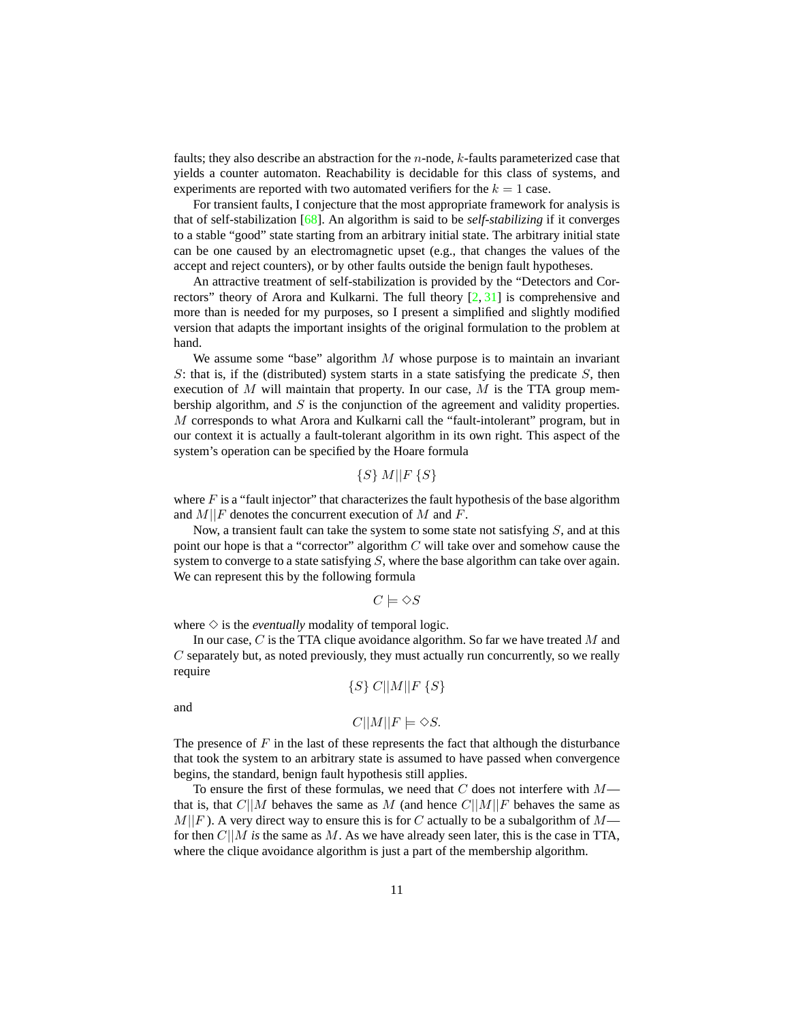<span id="page-10-0"></span>faults; they also describe an abstraction for the  $n$ -node,  $k$ -faults parameterized case that yields a counter automaton. Reachability is decidable for this class of systems, and experiments are reported with two automated verifiers for the  $k = 1$  case.

For transient faults, I conjecture that the most appropriate framework for analysis is that of self-stabilization [\[68](#page-21-9)]. An algorithm is said to be *self-stabilizing* if it converges to a stable "good" state starting from an arbitrary initial state. The arbitrary initial state can be one caused by an electromagnetic upset (e.g., that changes the values of the accept and reject counters), or by other faults outside the benign fault hypotheses.

An attractive treatment of self-stabilization is provided by the "Detectors and Correctors" theory of Arora and Kulkarni. The full theory [\[2](#page-17-8), [31](#page-19-7)] is comprehensive and more than is needed for my purposes, so I present a simplified and slightly modified version that adapts the important insights of the original formulation to the problem at hand.

We assume some "base" algorithm  $M$  whose purpose is to maintain an invariant S: that is, if the (distributed) system starts in a state satisfying the predicate  $S$ , then execution of  $M$  will maintain that property. In our case,  $M$  is the TTA group membership algorithm, and  $S$  is the conjunction of the agreement and validity properties. M corresponds to what Arora and Kulkarni call the "fault-intolerant" program, but in our context it is actually a fault-tolerant algorithm in its own right. This aspect of the system's operation can be specified by the Hoare formula

$$
\{S\} \ M||F \ \{S\}
$$

where  $F$  is a "fault injector" that characterizes the fault hypothesis of the base algorithm and  $M||F$  denotes the concurrent execution of M and F.

Now, a transient fault can take the system to some state not satisfying  $S$ , and at this point our hope is that a "corrector" algorithm C will take over and somehow cause the system to converge to a state satisfying S, where the base algorithm can take over again. We can represent this by the following formula

$$
C \models \Diamond S
$$

where  $\diamond$  is the *eventually* modality of temporal logic.

In our case,  $C$  is the TTA clique avoidance algorithm. So far we have treated  $M$  and  $C$  separately but, as noted previously, they must actually run concurrently, so we really require

$$
\{S\} \; C||M||F \; \{S\}
$$

and

$$
C||M||F \models \Diamond S.
$$

The presence of  $F$  in the last of these represents the fact that although the disturbance that took the system to an arbitrary state is assumed to have passed when convergence begins, the standard, benign fault hypothesis still applies.

To ensure the first of these formulas, we need that  $C$  does not interfere with  $M$ that is, that  $C||M$  behaves the same as M (and hence  $C||M||F$  behaves the same as  $M||F$ ). A very direct way to ensure this is for C actually to be a subalgorithm of  $M$  for then  $C||M$  *is* the same as M. As we have already seen later, this is the case in TTA, where the clique avoidance algorithm is just a part of the membership algorithm.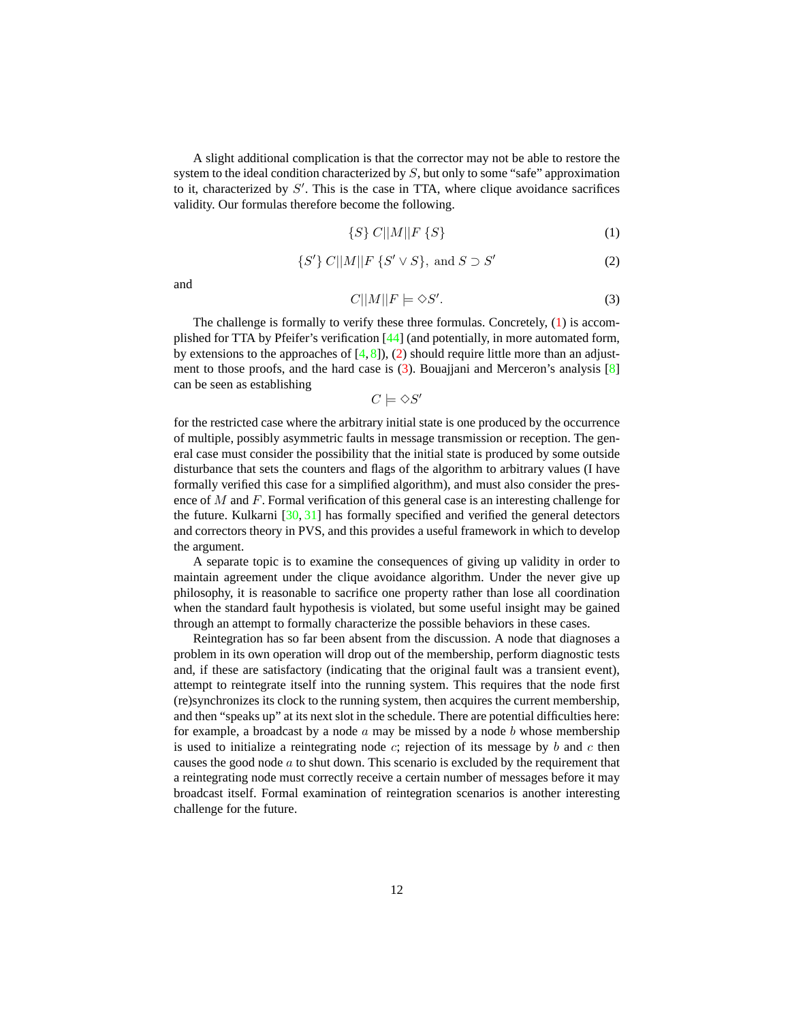<span id="page-11-3"></span>A slight additional complication is that the corrector may not be able to restore the system to the ideal condition characterized by  $S$ , but only to some "safe" approximation to it, characterized by  $S'$ . This is the case in TTA, where clique avoidance sacrifices validity. Our formulas therefore become the following.

<span id="page-11-0"></span>
$$
\{S\} C||M||F\{S\} \tag{1}
$$

<span id="page-11-1"></span>
$$
\{S'\} C||M||F\{S' \vee S\}, \text{ and } S \supset S'
$$
 (2)

and

<span id="page-11-2"></span>
$$
C||M||F \models \Diamond S'. \tag{3}
$$

The challenge is formally to verify these three formulas. Concretely, ([1\)](#page-11-0) is accomplished for TTA by Pfeifer's verification [[44\]](#page-19-6) (and potentially, in more automated form, by extensions to the approaches of  $[4, 8]$  $[4, 8]$  $[4, 8]$  $[4, 8]$ , [\(2](#page-11-1)) should require little more than an adjust-ment to those proofs, and the hard case is ([3\)](#page-11-2). Bouajjani and Merceron's analysis [\[8](#page-17-7)] can be seen as establishing

 $C \models \Diamond S'$ 

for the restricted case where the arbitrary initial state is one produced by the occurrence of multiple, possibly asymmetric faults in message transmission or reception. The general case must consider the possibility that the initial state is produced by some outside disturbance that sets the counters and flags of the algorithm to arbitrary values (I have formally verified this case for a simplified algorithm), and must also consider the presence of M and F. Formal verification of this general case is an interesting challenge for the future. Kulkarni [[30,](#page-18-8) [31\]](#page-19-7) has formally specified and verified the general detectors and correctors theory in PVS, and this provides a useful framework in which to develop the argument.

A separate topic is to examine the consequences of giving up validity in order to maintain agreement under the clique avoidance algorithm. Under the never give up philosophy, it is reasonable to sacrifice one property rather than lose all coordination when the standard fault hypothesis is violated, but some useful insight may be gained through an attempt to formally characterize the possible behaviors in these cases.

Reintegration has so far been absent from the discussion. A node that diagnoses a problem in its own operation will drop out of the membership, perform diagnostic tests and, if these are satisfactory (indicating that the original fault was a transient event), attempt to reintegrate itself into the running system. This requires that the node first (re)synchronizes its clock to the running system, then acquires the current membership, and then "speaks up" at its next slot in the schedule. There are potential difficulties here: for example, a broadcast by a node  $a$  may be missed by a node  $b$  whose membership is used to initialize a reintegrating node  $c$ ; rejection of its message by b and c then causes the good node a to shut down. This scenario is excluded by the requirement that a reintegrating node must correctly receive a certain number of messages before it may broadcast itself. Formal examination of reintegration scenarios is another interesting challenge for the future.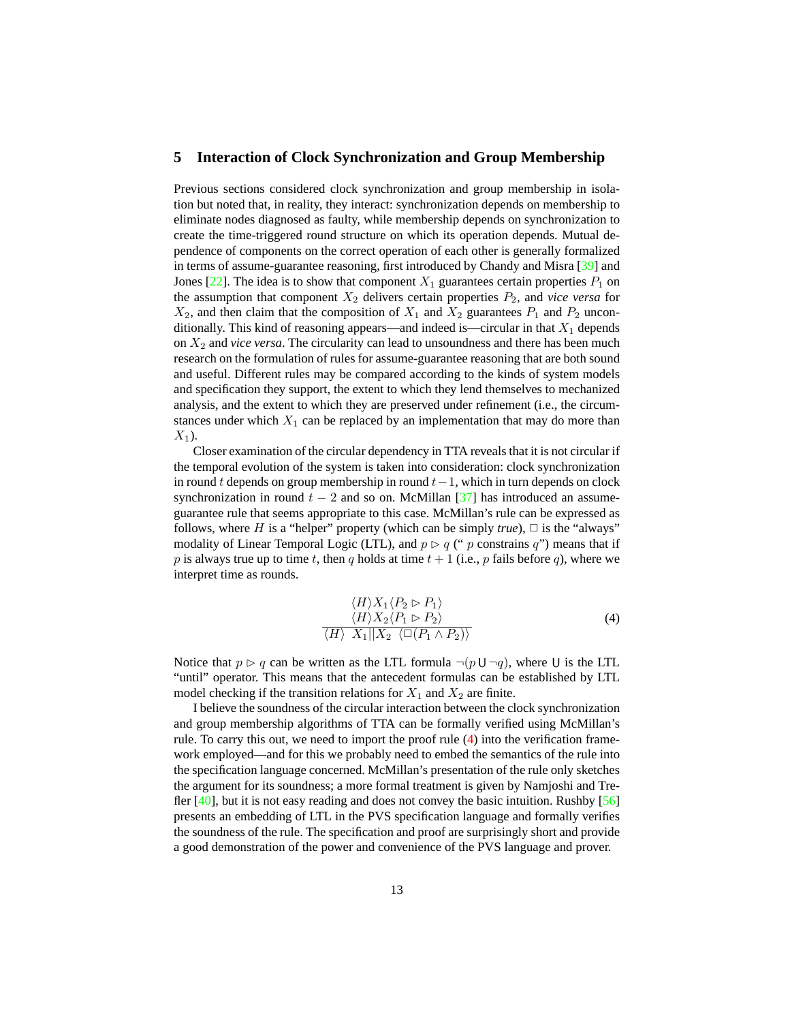### <span id="page-12-1"></span>**5 Interaction of Clock Synchronization and Group Membership**

Previous sections considered clock synchronization and group membership in isolation but noted that, in reality, they interact: synchronization depends on membership to eliminate nodes diagnosed as faulty, while membership depends on synchronization to create the time-triggered round structure on which its operation depends. Mutual dependence of components on the correct operation of each other is generally formalized in terms of assume-guarantee reasoning, first introduced by Chandy and Misra [[39\]](#page-19-8) and Jones  $[22]$  $[22]$ . The idea is to show that component  $X_1$  guarantees certain properties  $P_1$  on the assumption that component  $X_2$  delivers certain properties  $P_2$ , and *vice versa* for  $X_2$ , and then claim that the composition of  $X_1$  and  $X_2$  guarantees  $P_1$  and  $P_2$  unconditionally. This kind of reasoning appears—and indeed is—circular in that  $X_1$  depends on  $X<sub>2</sub>$  and *vice versa*. The circularity can lead to unsoundness and there has been much research on the formulation of rules for assume-guarantee reasoning that are both sound and useful. Different rules may be compared according to the kinds of system models and specification they support, the extent to which they lend themselves to mechanized analysis, and the extent to which they are preserved under refinement (i.e., the circumstances under which  $X_1$  can be replaced by an implementation that may do more than  $X_1$ ).

Closer examination of the circular dependency in TTA reveals that it is not circular if the temporal evolution of the system is taken into consideration: clock synchronization in round t depends on group membership in round  $t-1$ , which in turn depends on clock synchronization in round  $t - 2$  and so on. McMillan [\[37](#page-19-9)] has introduced an assumeguarantee rule that seems appropriate to this case. McMillan's rule can be expressed as follows, where *H* is a "helper" property (which can be simply  $true$ ),  $\Box$  is the "always" modality of Linear Temporal Logic (LTL), and  $p \triangleright q$  (" $p$  constrains  $q$ ") means that if p is always true up to time t, then q holds at time  $t + 1$  (i.e., p fails before q), where we interpret time as rounds.

<span id="page-12-0"></span>
$$
\frac{\langle H \rangle X_1 \langle P_2 \triangleright P_1 \rangle}{\langle H \rangle X_2 \langle P_1 \triangleright P_2 \rangle} \tag{4}
$$

$$
\frac{\langle H \rangle X_1 \langle |X_2 \langle \Box(P_1 \wedge P_2) \rangle}{\langle H \rangle X_1 \langle |X_2 \langle \Box(P_1 \wedge P_2) \rangle} \tag{5}
$$

Notice that  $p \triangleright q$  can be written as the LTL formula  $\neg(p \bigcup \neg q)$ , where U is the LTL "until" operator. This means that the antecedent formulas can be established by LTL model checking if the transition relations for  $X_1$  and  $X_2$  are finite.

I believe the soundness of the circular interaction between the clock synchronization and group membership algorithms of TTA can be formally verified using McMillan's rule. To carry this out, we need to import the proof rule [\(4](#page-12-0)) into the verification framework employed—and for this we probably need to embed the semantics of the rule into the specification language concerned. McMillan's presentation of the rule only sketches the argument for its soundness; a more formal treatment is given by Namjoshi and Trefler  $[40]$  $[40]$ , but it is not easy reading and does not convey the basic intuition. Rushby  $[56]$  $[56]$ presents an embedding of LTL in the PVS specification language and formally verifies the soundness of the rule. The specification and proof are surprisingly short and provide a good demonstration of the power and convenience of the PVS language and prover.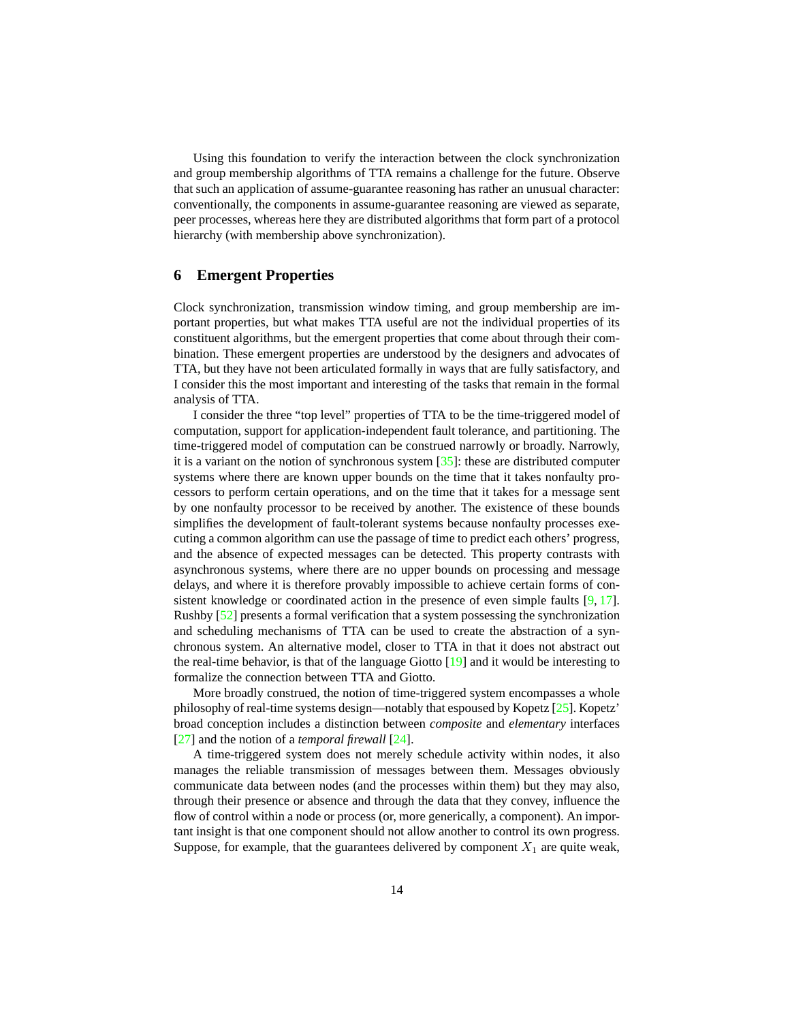<span id="page-13-0"></span>Using this foundation to verify the interaction between the clock synchronization and group membership algorithms of TTA remains a challenge for the future. Observe that such an application of assume-guarantee reasoning has rather an unusual character: conventionally, the components in assume-guarantee reasoning are viewed as separate, peer processes, whereas here they are distributed algorithms that form part of a protocol hierarchy (with membership above synchronization).

## **6 Emergent Properties**

Clock synchronization, transmission window timing, and group membership are important properties, but what makes TTA useful are not the individual properties of its constituent algorithms, but the emergent properties that come about through their combination. These emergent properties are understood by the designers and advocates of TTA, but they have not been articulated formally in ways that are fully satisfactory, and I consider this the most important and interesting of the tasks that remain in the formal analysis of TTA.

I consider the three "top level" properties of TTA to be the time-triggered model of computation, support for application-independent fault tolerance, and partitioning. The time-triggered model of computation can be construed narrowly or broadly. Narrowly, it is a variant on the notion of synchronous system [[35\]](#page-19-11): these are distributed computer systems where there are known upper bounds on the time that it takes nonfaulty processors to perform certain operations, and on the time that it takes for a message sent by one nonfaulty processor to be received by another. The existence of these bounds simplifies the development of fault-tolerant systems because nonfaulty processes executing a common algorithm can use the passage of time to predict each others' progress, and the absence of expected messages can be detected. This property contrasts with asynchronous systems, where there are no upper bounds on processing and message delays, and where it is therefore provably impossible to achieve certain forms of con-sistent knowledge or coordinated action in the presence of even simple faults [[9,](#page-17-9) [17\]](#page-18-10). Rushby [[52\]](#page-20-11) presents a formal verification that a system possessing the synchronization and scheduling mechanisms of TTA can be used to create the abstraction of a synchronous system. An alternative model, closer to TTA in that it does not abstract out the real-time behavior, is that of the language Giotto  $[19]$  $[19]$  and it would be interesting to formalize the connection between TTA and Giotto.

More broadly construed, the notion of time-triggered system encompasses a whole philosophy of real-time systems design—notably that espoused by Kopetz  $[25]$  $[25]$ . Kopetz' broad conception includes a distinction between *composite* and *elementary* interfaces [\[27](#page-18-4)] and the notion of a *temporal firewall* [\[24](#page-18-3)].

A time-triggered system does not merely schedule activity within nodes, it also manages the reliable transmission of messages between them. Messages obviously communicate data between nodes (and the processes within them) but they may also, through their presence or absence and through the data that they convey, influence the flow of control within a node or process (or, more generically, a component). An important insight is that one component should not allow another to control its own progress. Suppose, for example, that the guarantees delivered by component  $X_1$  are quite weak,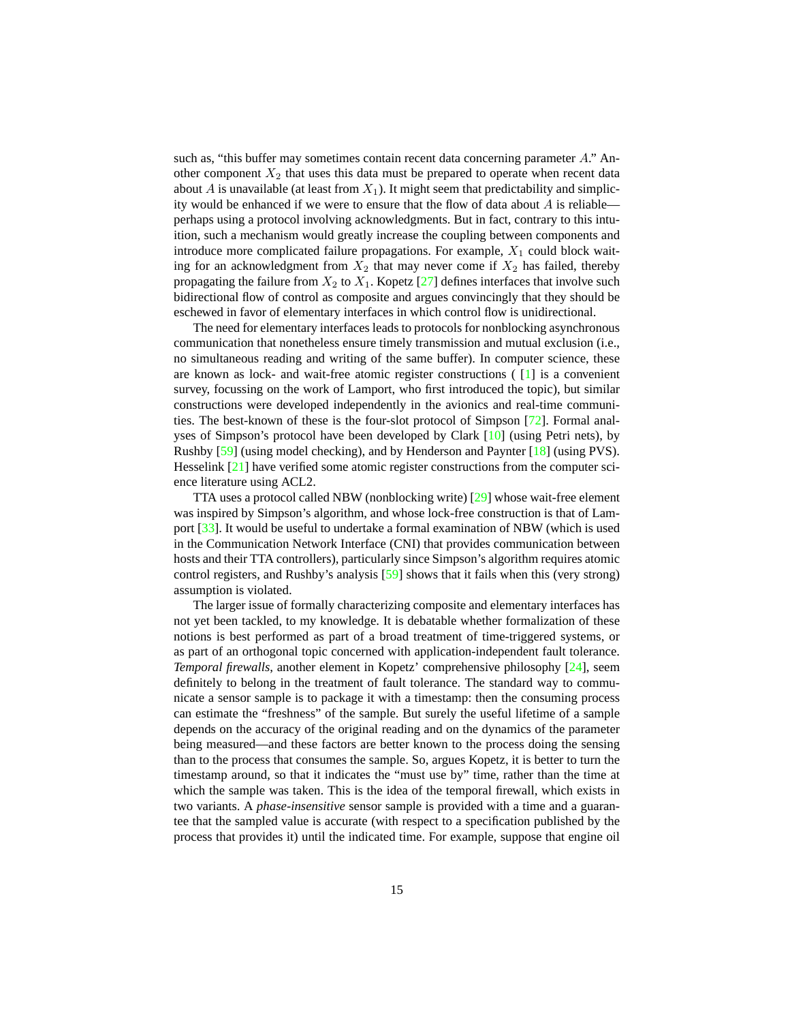<span id="page-14-0"></span>such as, "this buffer may sometimes contain recent data concerning parameter A." Another component  $X_2$  that uses this data must be prepared to operate when recent data about A is unavailable (at least from  $X_1$ ). It might seem that predictability and simplicity would be enhanced if we were to ensure that the flow of data about  $A$  is reliable perhaps using a protocol involving acknowledgments. But in fact, contrary to this intuition, such a mechanism would greatly increase the coupling between components and introduce more complicated failure propagations. For example,  $X_1$  could block waiting for an acknowledgment from  $X_2$  that may never come if  $X_2$  has failed, thereby propagating the failure from  $X_2$  to  $X_1$ . Kopetz [\[27](#page-18-4)] defines interfaces that involve such bidirectional flow of control as composite and argues convincingly that they should be eschewed in favor of elementary interfaces in which control flow is unidirectional.

The need for elementary interfaces leads to protocols for nonblocking asynchronous communication that nonetheless ensure timely transmission and mutual exclusion (i.e., no simultaneous reading and writing of the same buffer). In computer science, these are known as lock- and wait-free atomic register constructions ( [[1\]](#page-17-10) is a convenient survey, focussing on the work of Lamport, who first introduced the topic), but similar constructions were developed independently in the avionics and real-time communities. The best-known of these is the four-slot protocol of Simpson [[72\]](#page-21-10). Formal analyses of Simpson's protocol have been developed by Clark [\[10](#page-17-11)] (using Petri nets), by Rushby [[59\]](#page-20-12) (using model checking), and by Henderson and Paynter [\[18](#page-18-12)] (using PVS). Hesselink [[21\]](#page-18-13) have verified some atomic register constructions from the computer science literature using ACL2.

TTA uses a protocol called NBW (nonblocking write) [[29\]](#page-18-14) whose wait-free element was inspired by Simpson's algorithm, and whose lock-free construction is that of Lamport [\[33](#page-19-12)]. It would be useful to undertake a formal examination of NBW (which is used in the Communication Network Interface (CNI) that provides communication between hosts and their TTA controllers), particularly since Simpson's algorithm requires atomic control registers, and Rushby's analysis [\[59](#page-20-12)] shows that it fails when this (very strong) assumption is violated.

The larger issue of formally characterizing composite and elementary interfaces has not yet been tackled, to my knowledge. It is debatable whether formalization of these notions is best performed as part of a broad treatment of time-triggered systems, or as part of an orthogonal topic concerned with application-independent fault tolerance. *Temporal firewalls*, another element in Kopetz' comprehensive philosophy [\[24](#page-18-3)], seem definitely to belong in the treatment of fault tolerance. The standard way to communicate a sensor sample is to package it with a timestamp: then the consuming process can estimate the "freshness" of the sample. But surely the useful lifetime of a sample depends on the accuracy of the original reading and on the dynamics of the parameter being measured—and these factors are better known to the process doing the sensing than to the process that consumes the sample. So, argues Kopetz, it is better to turn the timestamp around, so that it indicates the "must use by" time, rather than the time at which the sample was taken. This is the idea of the temporal firewall, which exists in two variants. A *phase-insensitive* sensor sample is provided with a time and a guarantee that the sampled value is accurate (with respect to a specification published by the process that provides it) until the indicated time. For example, suppose that engine oil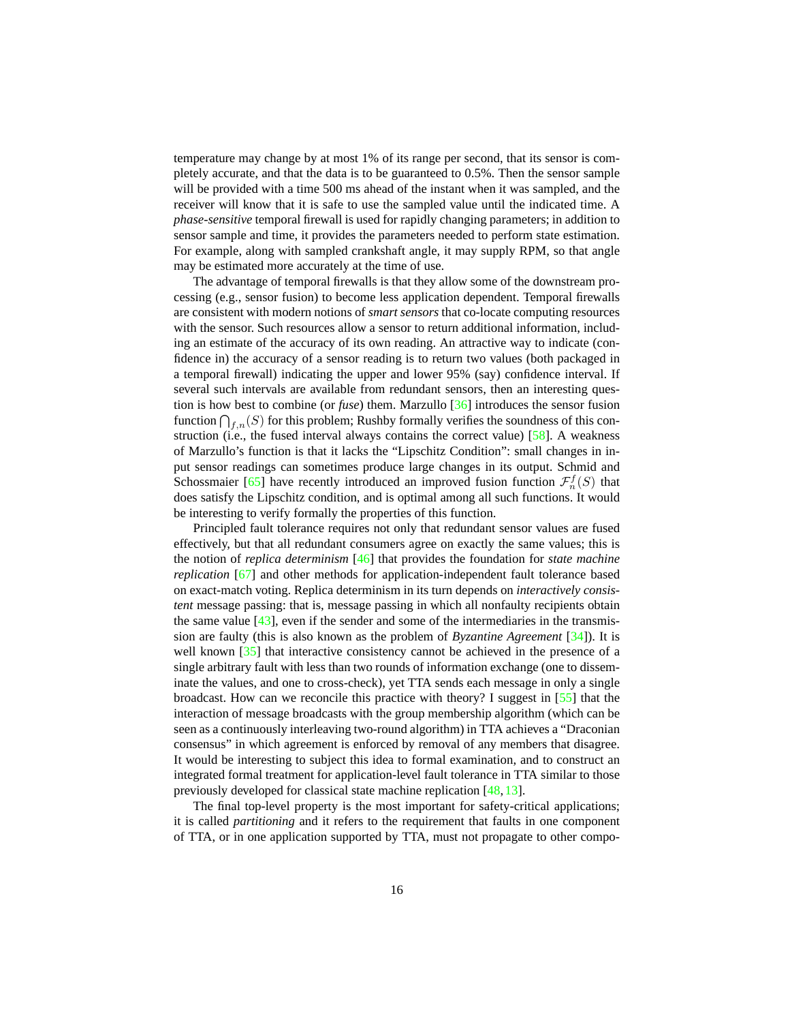<span id="page-15-0"></span>temperature may change by at most 1% of its range per second, that its sensor is completely accurate, and that the data is to be guaranteed to 0.5%. Then the sensor sample will be provided with a time 500 ms ahead of the instant when it was sampled, and the receiver will know that it is safe to use the sampled value until the indicated time. A *phase-sensitive* temporal firewall is used for rapidly changing parameters; in addition to sensor sample and time, it provides the parameters needed to perform state estimation. For example, along with sampled crankshaft angle, it may supply RPM, so that angle may be estimated more accurately at the time of use.

The advantage of temporal firewalls is that they allow some of the downstream processing (e.g., sensor fusion) to become less application dependent. Temporal firewalls are consistent with modern notions of *smart sensors* that co-locate computing resources with the sensor. Such resources allow a sensor to return additional information, including an estimate of the accuracy of its own reading. An attractive way to indicate (confidence in) the accuracy of a sensor reading is to return two values (both packaged in a temporal firewall) indicating the upper and lower 95% (say) confidence interval. If several such intervals are available from redundant sensors, then an interesting question is how best to combine (or *fuse*) them. Marzullo [\[36](#page-19-13)] introduces the sensor fusion function  $\bigcap_{f,n}(S)$  for this problem; Rushby formally verifies the soundness of this construction (i.e., the fused interval always contains the correct value) [[58\]](#page-20-13). A weakness of Marzullo's function is that it lacks the "Lipschitz Condition": small changes in input sensor readings can sometimes produce large changes in its output. Schmid and Schossmaier [\[65](#page-20-14)] have recently introduced an improved fusion function  $\mathcal{F}_n^f(S)$  that does satisfy the Lipschitz condition, and is optimal among all such functions. It would be interesting to verify formally the properties of this function.

Principled fault tolerance requires not only that redundant sensor values are fused effectively, but that all redundant consumers agree on exactly the same values; this is the notion of *replica determinism* [[46\]](#page-19-14) that provides the foundation for *state machine replication* [[67\]](#page-21-11) and other methods for application-independent fault tolerance based on exact-match voting. Replica determinism in its turn depends on *interactively consistent* message passing: that is, message passing in which all nonfaulty recipients obtain the same value [\[43](#page-19-15)], even if the sender and some of the intermediaries in the transmission are faulty (this is also known as the problem of *Byzantine Agreement* [\[34](#page-19-16)]). It is well known [[35\]](#page-19-11) that interactive consistency cannot be achieved in the presence of a single arbitrary fault with less than two rounds of information exchange (one to disseminate the values, and one to cross-check), yet TTA sends each message in only a single broadcast. How can we reconcile this practice with theory? I suggest in [[55\]](#page-20-1) that the interaction of message broadcasts with the group membership algorithm (which can be seen as a continuously interleaving two-round algorithm) in TTA achieves a "Draconian consensus" in which agreement is enforced by removal of any members that disagree. It would be interesting to subject this idea to formal examination, and to construct an integrated formal treatment for application-level fault tolerance in TTA similar to those previously developed for classical state machine replication [[48,](#page-19-17) [13\]](#page-17-12).

The final top-level property is the most important for safety-critical applications; it is called *partitioning* and it refers to the requirement that faults in one component of TTA, or in one application supported by TTA, must not propagate to other compo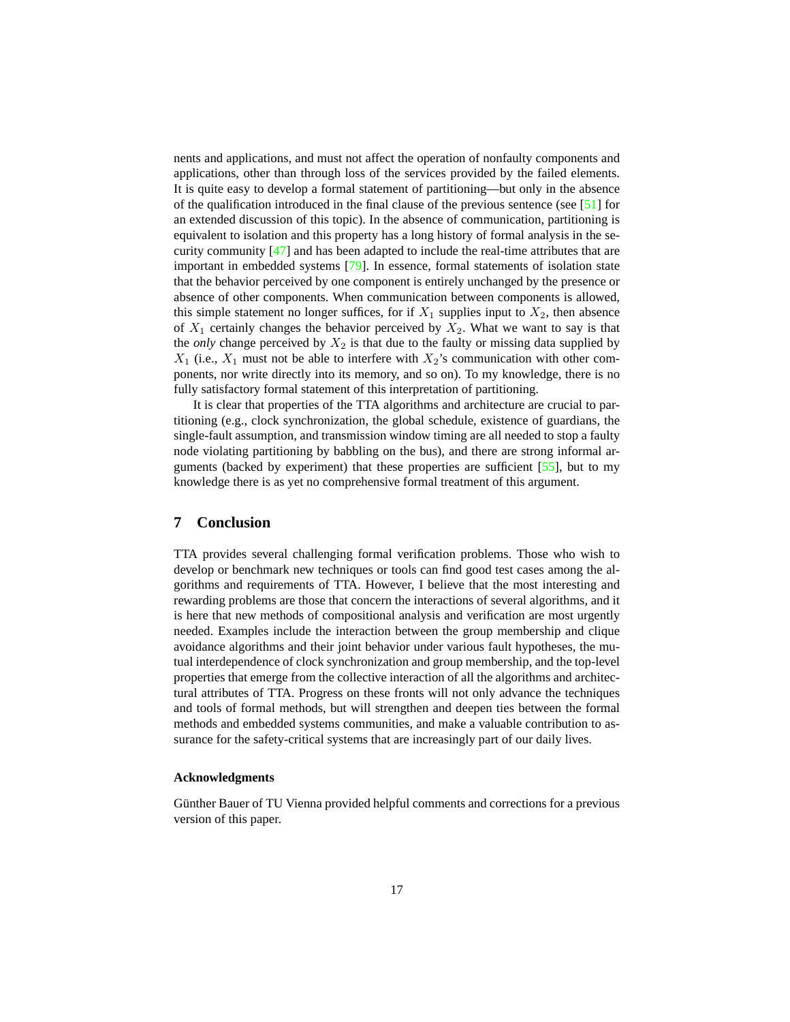<span id="page-16-0"></span>nents and applications, and must not affect the operation of nonfaulty components and applications, other than through loss of the services provided by the failed elements. It is quite easy to develop a formal statement of partitioning—but only in the absence of the qualification introduced in the final clause of the previous sentence (see [\[51\]](#page-20-15) for an extended discussion of this topic). In the absence of communication, partitioning is equivalent to isolation and this property has a long history of formal analysis in the security community  $[47]$  $[47]$  and has been adapted to include the real-time attributes that are important in embedded systems [[79\]](#page-21-12). In essence, formal statements of isolation state that the behavior perceived by one component is entirely unchanged by the presence or absence of other components. When communication between components is allowed, this simple statement no longer suffices, for if  $X_1$  supplies input to  $X_2$ , then absence of  $X_1$  certainly changes the behavior perceived by  $X_2$ . What we want to say is that the *only* change perceived by  $X_2$  is that due to the faulty or missing data supplied by  $X_1$  (i.e.,  $X_1$  must not be able to interfere with  $X_2$ 's communication with other components, nor write directly into its memory, and so on). To my knowledge, there is no fully satisfactory formal statement of this interpretation of partitioning.

It is clear that properties of the TTA algorithms and architecture are crucial to partitioning (e.g., clock synchronization, the global schedule, existence of guardians, the single-fault assumption, and transmission window timing are all needed to stop a faulty node violating partitioning by babbling on the bus), and there are strong informal arguments (backed by experiment) that these properties are sufficient [\[55](#page-20-1)], but to my knowledge there is as yet no comprehensive formal treatment of this argument.

#### **7 Conclusion**

TTA provides several challenging formal verification problems. Those who wish to develop or benchmark new techniques or tools can find good test cases among the algorithms and requirements of TTA. However, I believe that the most interesting and rewarding problems are those that concern the interactions of several algorithms, and it is here that new methods of compositional analysis and verification are most urgently needed. Examples include the interaction between the group membership and clique avoidance algorithms and their joint behavior under various fault hypotheses, the mutual interdependence of clock synchronization and group membership, and the top-level properties that emerge from the collective interaction of all the algorithms and architectural attributes of TTA. Progress on these fronts will not only advance the techniques and tools of formal methods, but will strengthen and deepen ties between the formal methods and embedded systems communities, and make a valuable contribution to assurance for the safety-critical systems that are increasingly part of our daily lives.

#### **Acknowledgments**

Günther Bauer of TU Vienna provided helpful comments and corrections for a previous version of this paper.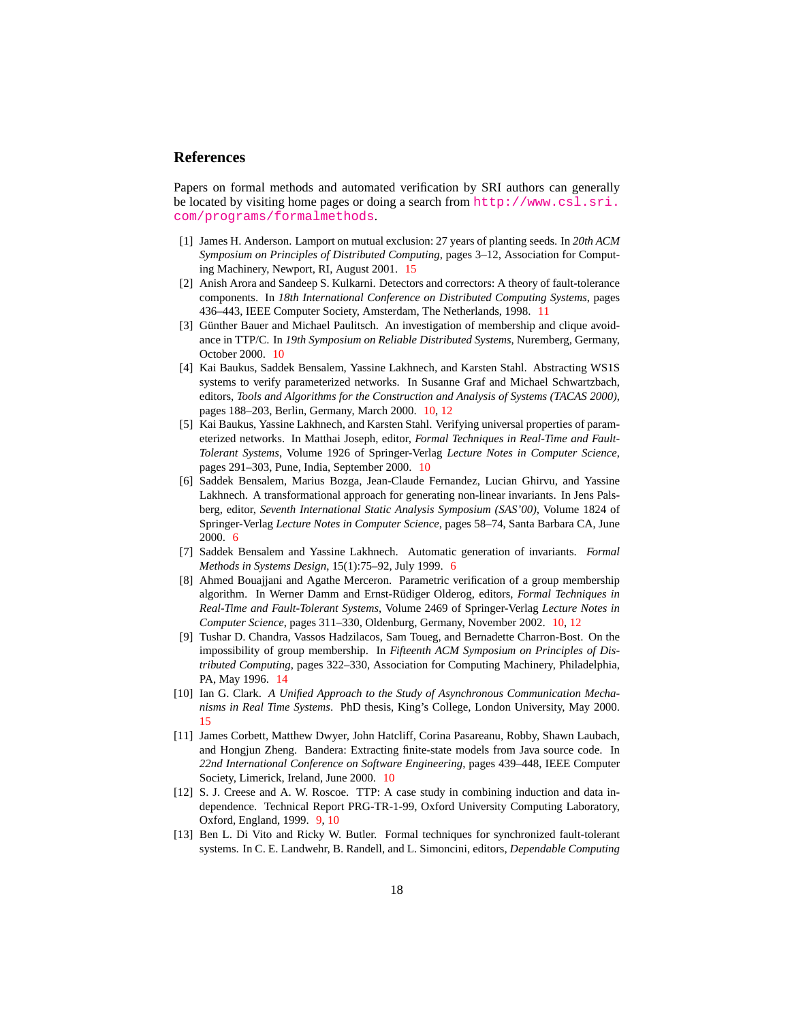## **References**

Papers on formal methods and automated verification by SRI authors can generally be located by visiting home pages or doing a search from [http://www.csl.sri.](http://www.csl.sri.com/programs/formalmethods) [com/programs/formalmethods](http://www.csl.sri.com/programs/formalmethods).

- <span id="page-17-10"></span>[1] James H. Anderson. Lamport on mutual exclusion: 27 years of planting seeds. In *20th ACM Symposium on Principles of Distributed Computing*, pages 3–12, Association for Computing Machinery, Newport, RI, August 2001. [15](#page-14-0)
- <span id="page-17-8"></span>[2] Anish Arora and Sandeep S. Kulkarni. Detectors and correctors: A theory of fault-tolerance components. In *18th International Conference on Distributed Computing Systems*, pages 436–443, IEEE Computer Society, Amsterdam, The Netherlands, 1998. [11](#page-10-0)
- <span id="page-17-6"></span>[3] Günther Bauer and Michael Paulitsch. An investigation of membership and clique avoidance in TTP/C. In *19th Symposium on Reliable Distributed Systems*, Nuremberg, Germany, October 2000. [10](#page-9-1)
- <span id="page-17-4"></span>[4] Kai Baukus, Saddek Bensalem, Yassine Lakhnech, and Karsten Stahl. Abstracting WS1S systems to verify parameterized networks. In Susanne Graf and Michael Schwartzbach, editors, *Tools and Algorithms for the Construction and Analysis of Systems (TACAS 2000)*, pages 188–203, Berlin, Germany, March 2000. [10](#page-9-1), [12](#page-11-3)
- <span id="page-17-5"></span>[5] Kai Baukus, Yassine Lakhnech, and Karsten Stahl. Verifying universal properties of parameterized networks. In Matthai Joseph, editor, *Formal Techniques in Real-Time and Fault-Tolerant Systems*, Volume 1926 of Springer-Verlag *Lecture Notes in Computer Science*, pages 291–303, Pune, India, September 2000. [10](#page-9-1)
- <span id="page-17-0"></span>[6] Saddek Bensalem, Marius Bozga, Jean-Claude Fernandez, Lucian Ghirvu, and Yassine Lakhnech. A transformational approach for generating non-linear invariants. In Jens Palsberg, editor, *Seventh International Static Analysis Symposium (SAS'00)*, Volume 1824 of Springer-Verlag *Lecture Notes in Computer Science*, pages 58–74, Santa Barbara CA, June 2000. [6](#page-5-1)
- <span id="page-17-1"></span>[7] Saddek Bensalem and Yassine Lakhnech. Automatic generation of invariants. *Formal Methods in Systems Design*, 15(1):75–92, July 1999. [6](#page-5-1)
- <span id="page-17-7"></span>[8] Ahmed Bouajjani and Agathe Merceron. Parametric verification of a group membership algorithm. In Werner Damm and Ernst-Rüdiger Olderog, editors, *Formal Techniques in Real-Time and Fault-Tolerant Systems*, Volume 2469 of Springer-Verlag *Lecture Notes in Computer Science*, pages 311–330, Oldenburg, Germany, November 2002. [10](#page-9-1), [12](#page-11-3)
- <span id="page-17-9"></span>[9] Tushar D. Chandra, Vassos Hadzilacos, Sam Toueg, and Bernadette Charron-Bost. On the impossibility of group membership. In *Fifteenth ACM Symposium on Principles of Distributed Computing*, pages 322–330, Association for Computing Machinery, Philadelphia, PA, May 1996. [14](#page-13-0)
- <span id="page-17-11"></span>[10] Ian G. Clark. *A Unified Approach to the Study of Asynchronous Communication Mechanisms in Real Time Systems*. PhD thesis, King's College, London University, May 2000. [15](#page-14-0)
- <span id="page-17-3"></span>[11] James Corbett, Matthew Dwyer, John Hatcliff, Corina Pasareanu, Robby, Shawn Laubach, and Hongjun Zheng. Bandera: Extracting finite-state models from Java source code. In *22nd International Conference on Software Engineering*, pages 439–448, IEEE Computer Society, Limerick, Ireland, June 2000. [10](#page-9-1)
- <span id="page-17-2"></span>[12] S. J. Creese and A. W. Roscoe. TTP: A case study in combining induction and data independence. Technical Report PRG-TR-1-99, Oxford University Computing Laboratory, Oxford, England, 1999. [9,](#page-8-0) [10](#page-9-1)
- <span id="page-17-12"></span>[13] Ben L. Di Vito and Ricky W. Butler. Formal techniques for synchronized fault-tolerant systems. In C. E. Landwehr, B. Randell, and L. Simoncini, editors, *Dependable Computing*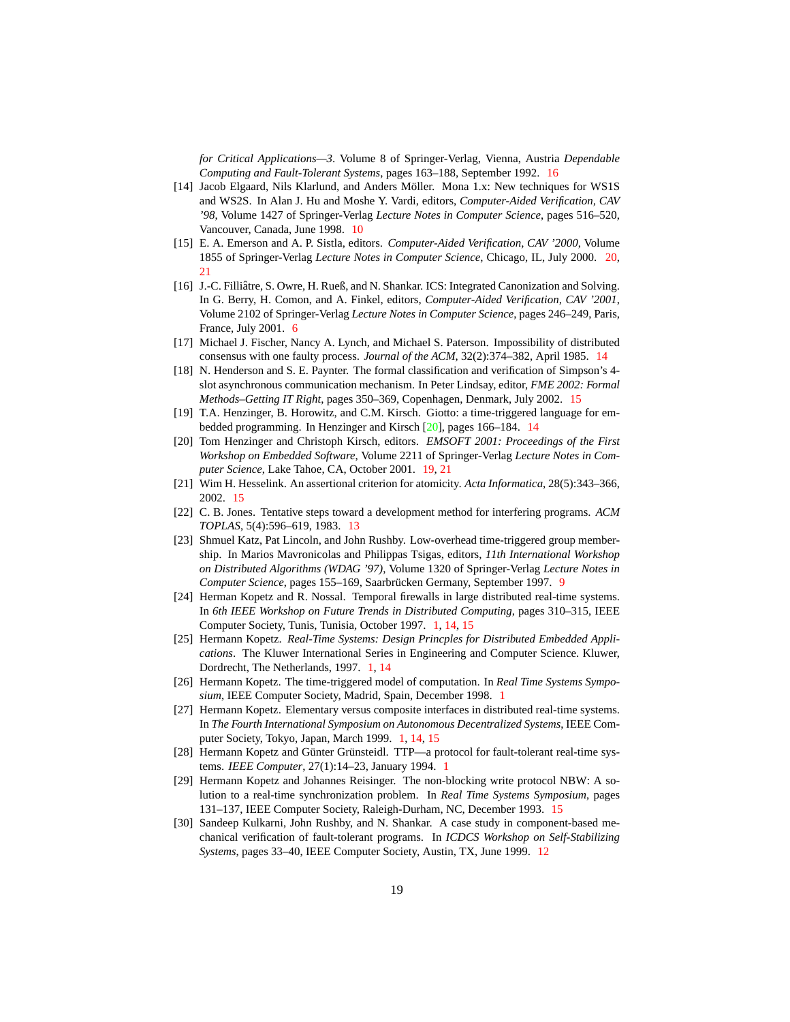<span id="page-18-16"></span>*for Critical Applications—3*. Volume 8 of Springer-Verlag, Vienna, Austria *Dependable Computing and Fault-Tolerant Systems*, pages 163–188, September 1992. [16](#page-15-0)

- <span id="page-18-7"></span>[14] Jacob Elgaard, Nils Klarlund, and Anders Möller. Mona 1.x: New techniques for WS1S and WS2S. In Alan J. Hu and Moshe Y. Vardi, editors, *Computer-Aided Verification, CAV '98*, Volume 1427 of Springer-Verlag *Lecture Notes in Computer Science*, pages 516–520, Vancouver, Canada, June 1998. [10](#page-9-1)
- <span id="page-18-17"></span>[15] E. A. Emerson and A. P. Sistla, editors. *Computer-Aided Verification, CAV '2000*, Volume 1855 of Springer-Verlag *Lecture Notes in Computer Science*, Chicago, IL, July 2000. [20](#page-19-19), [21](#page-20-16)
- <span id="page-18-5"></span>[16] J.-C. Filliatre, S. Owre, H. Rueß, and N. Shankar. ICS: Integrated Canonization and Solving. ˆ In G. Berry, H. Comon, and A. Finkel, editors, *Computer-Aided Verification, CAV '2001*, Volume 2102 of Springer-Verlag *Lecture Notes in Computer Science*, pages 246–249, Paris, France, July 2001. [6](#page-5-1)
- <span id="page-18-10"></span>[17] Michael J. Fischer, Nancy A. Lynch, and Michael S. Paterson. Impossibility of distributed consensus with one faulty process. *Journal of the ACM*, 32(2):374–382, April 1985. [14](#page-13-0)
- <span id="page-18-12"></span>[18] N. Henderson and S. E. Paynter. The formal classification and verification of Simpson's 4 slot asynchronous communication mechanism. In Peter Lindsay, editor, *FME 2002: Formal Methods–Getting IT Right*, pages 350–369, Copenhagen, Denmark, July 2002. [15](#page-14-0)
- <span id="page-18-11"></span>[19] T.A. Henzinger, B. Horowitz, and C.M. Kirsch. Giotto: a time-triggered language for embedded programming. In Henzinger and Kirsch [[20\]](#page-18-15), pages 166–184. [14](#page-13-0)
- <span id="page-18-15"></span>[20] Tom Henzinger and Christoph Kirsch, editors. *EMSOFT 2001: Proceedings of the First Workshop on Embedded Software*, Volume 2211 of Springer-Verlag *Lecture Notes in Computer Science*, Lake Tahoe, CA, October 2001. [19,](#page-18-16) [21](#page-20-16)
- <span id="page-18-13"></span>[21] Wim H. Hesselink. An assertional criterion for atomicity. *Acta Informatica*, 28(5):343–366, 2002. [15](#page-14-0)
- <span id="page-18-9"></span>[22] C. B. Jones. Tentative steps toward a development method for interfering programs. *ACM TOPLAS*, 5(4):596–619, 1983. [13](#page-12-1)
- <span id="page-18-6"></span>[23] Shmuel Katz, Pat Lincoln, and John Rushby. Low-overhead time-triggered group membership. In Marios Mavronicolas and Philippas Tsigas, editors, *11th International Workshop on Distributed Algorithms (WDAG '97)*, Volume 1320 of Springer-Verlag *Lecture Notes in Computer Science*, pages 155–16[9](#page-8-0), Saarbrücken Germany, September 1997. 9
- <span id="page-18-3"></span>[24] Herman Kopetz and R. Nossal. Temporal firewalls in large distributed real-time systems. In *6th IEEE Workshop on Future Trends in Distributed Computing*, pages 310–315, IEEE Computer Society, Tunis, Tunisia, October 1997. [1](#page-0-0), [14,](#page-13-0) [15](#page-14-0)
- <span id="page-18-1"></span>[25] Hermann Kopetz. *Real-Time Systems: Design Princples for Distributed Embedded Applications*. The Kluwer International Series in Engineering and Computer Science. Kluwer, Dordrecht, The Netherlands, 1997. [1,](#page-0-0) [14](#page-13-0)
- <span id="page-18-2"></span>[26] Hermann Kopetz. The time-triggered model of computation. In *Real Time Systems Symposium*, IEEE Computer Society, Madrid, Spain, December 1998. [1](#page-0-0)
- <span id="page-18-4"></span>[27] Hermann Kopetz. Elementary versus composite interfaces in distributed real-time systems. In *The Fourth International Symposium on Autonomous Decentralized Systems*, IEEE Com-puter Society, Tokyo, Japan, March 1999. [1,](#page-0-0) [14](#page-13-0), [15](#page-14-0)
- <span id="page-18-0"></span>[28] Hermann Kopetz and Günter Grünsteidl. TTP—a protocol for fault-tolerant real-time systems. *IEEE Computer*, 27(1):14–23, January 1994. [1](#page-0-0)
- <span id="page-18-14"></span>[29] Hermann Kopetz and Johannes Reisinger. The non-blocking write protocol NBW: A solution to a real-time synchronization problem. In *Real Time Systems Symposium*, pages 131–137, IEEE Computer Society, Raleigh-Durham, NC, December 1993. [15](#page-14-0)
- <span id="page-18-8"></span>[30] Sandeep Kulkarni, John Rushby, and N. Shankar. A case study in component-based mechanical verification of fault-tolerant programs. In *ICDCS Workshop on Self-Stabilizing Systems*, pages 33–40, IEEE Computer Society, Austin, TX, June 1999. [12](#page-11-3)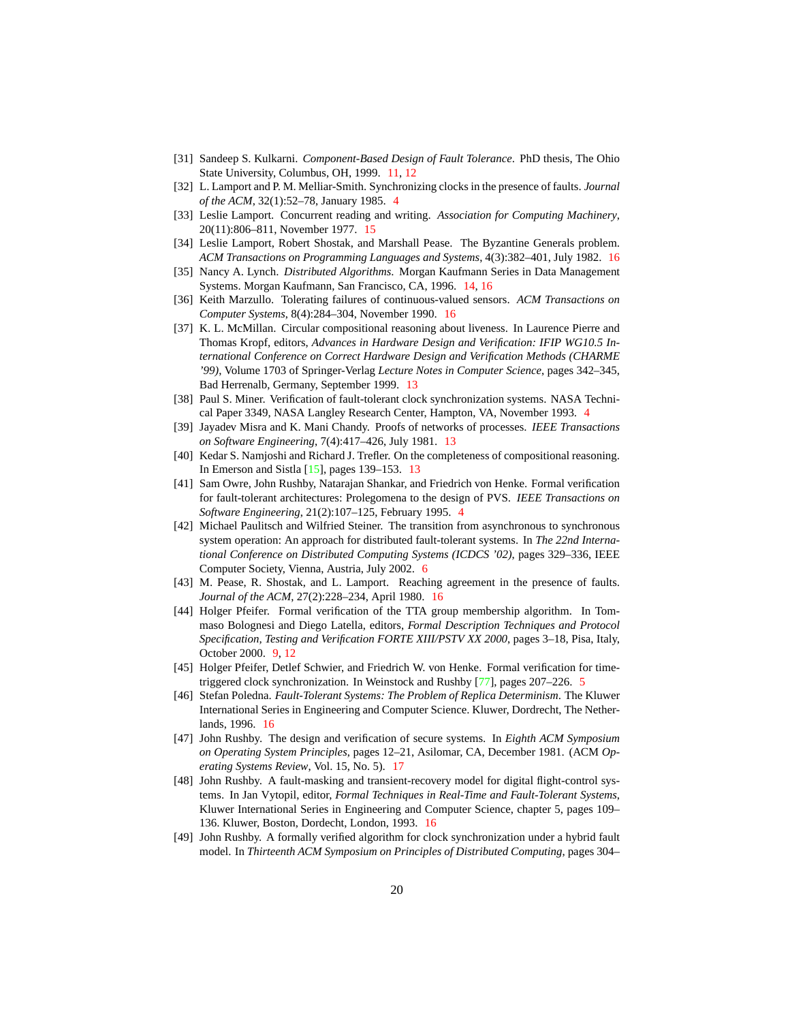- <span id="page-19-19"></span><span id="page-19-7"></span>[31] Sandeep S. Kulkarni. *Component-Based Design of Fault Tolerance*. PhD thesis, The Ohio State University, Columbus, OH, 1999. [11](#page-10-0), [12](#page-11-3)
- <span id="page-19-0"></span>[32] L. Lamport and P. M. Melliar-Smith. Synchronizing clocks in the presence of faults. *Journal of the ACM*, 32(1):52–78, January 1985. [4](#page-3-3)
- <span id="page-19-12"></span>[33] Leslie Lamport. Concurrent reading and writing. *Association for Computing Machinery*, 20(11):806–811, November 1977. [15](#page-14-0)
- <span id="page-19-16"></span>[34] Leslie Lamport, Robert Shostak, and Marshall Pease. The Byzantine Generals problem. *ACM Transactions on Programming Languages and Systems*, 4(3):382–401, July 1982. [16](#page-15-0)
- <span id="page-19-11"></span>[35] Nancy A. Lynch. *Distributed Algorithms*. Morgan Kaufmann Series in Data Management Systems. Morgan Kaufmann, San Francisco, CA, 1996. [14](#page-13-0), [16](#page-15-0)
- <span id="page-19-13"></span>[36] Keith Marzullo. Tolerating failures of continuous-valued sensors. *ACM Transactions on Computer Systems*, 8(4):284–304, November 1990. [16](#page-15-0)
- <span id="page-19-9"></span>[37] K. L. McMillan. Circular compositional reasoning about liveness. In Laurence Pierre and Thomas Kropf, editors, *Advances in Hardware Design and Verification: IFIP WG10.5 International Conference on Correct Hardware Design and Verification Methods (CHARME '99)*, Volume 1703 of Springer-Verlag *Lecture Notes in Computer Science*, pages 342–345, Bad Herrenalb, Germany, September 1999. [13](#page-12-1)
- <span id="page-19-1"></span>[38] Paul S. Miner. Verification of fault-tolerant clock synchronization systems. NASA Technical Paper 3349, NASA Langley Research Center, Hampton, VA, November 1993. [4](#page-3-3)
- <span id="page-19-8"></span>[39] Jayadev Misra and K. Mani Chandy. Proofs of networks of processes. *IEEE Transactions on Software Engineering*, 7(4):417–426, July 1981. [13](#page-12-1)
- <span id="page-19-10"></span>[40] Kedar S. Namjoshi and Richard J. Trefler. On the completeness of compositional reasoning. In Emerson and Sistla [[15\]](#page-18-17), pages 139–153. [13](#page-12-1)
- <span id="page-19-2"></span>[41] Sam Owre, John Rushby, Natarajan Shankar, and Friedrich von Henke. Formal verification for fault-tolerant architectures: Prolegomena to the design of PVS. *IEEE Transactions on Software Engineering*, 21(2):107–125, February 1995. [4](#page-3-3)
- <span id="page-19-5"></span>[42] Michael Paulitsch and Wilfried Steiner. The transition from asynchronous to synchronous system operation: An approach for distributed fault-tolerant systems. In *The 22nd International Conference on Distributed Computing Systems (ICDCS '02)*, pages 329–336, IEEE Computer Society, Vienna, Austria, July 2002. [6](#page-5-1)
- <span id="page-19-15"></span>[43] M. Pease, R. Shostak, and L. Lamport. Reaching agreement in the presence of faults. *Journal of the ACM*, 27(2):228–234, April 1980. [16](#page-15-0)
- <span id="page-19-6"></span>[44] Holger Pfeifer. Formal verification of the TTA group membership algorithm. In Tommaso Bolognesi and Diego Latella, editors, *Formal Description Techniques and Protocol Specification, Testing and Verification FORTE XIII/PSTV XX 2000*, pages 3–18, Pisa, Italy, October 2000. [9,](#page-8-0) [12](#page-11-3)
- <span id="page-19-3"></span>[45] Holger Pfeifer, Detlef Schwier, and Friedrich W. von Henke. Formal verification for timetriggered clock synchronization. In Weinstock and Rushby [\[77](#page-21-13)], pages 207–226. [5](#page-4-0)
- <span id="page-19-14"></span>[46] Stefan Poledna. *Fault-Tolerant Systems: The Problem of Replica Determinism*. The Kluwer International Series in Engineering and Computer Science. Kluwer, Dordrecht, The Netherlands, 1996. [16](#page-15-0)
- <span id="page-19-18"></span>[47] John Rushby. The design and verification of secure systems. In *Eighth ACM Symposium on Operating System Principles*, pages 12–21, Asilomar, CA, December 1981. (ACM *Operating Systems Review*, Vol. 15, No. 5). [17](#page-16-0)
- <span id="page-19-17"></span>[48] John Rushby. A fault-masking and transient-recovery model for digital flight-control systems. In Jan Vytopil, editor, *Formal Techniques in Real-Time and Fault-Tolerant Systems*, Kluwer International Series in Engineering and Computer Science, chapter 5, pages 109– 136. Kluwer, Boston, Dordecht, London, 1993. [16](#page-15-0)
- <span id="page-19-4"></span>[49] John Rushby. A formally verified algorithm for clock synchronization under a hybrid fault model. In *Thirteenth ACM Symposium on Principles of Distributed Computing*, pages 304–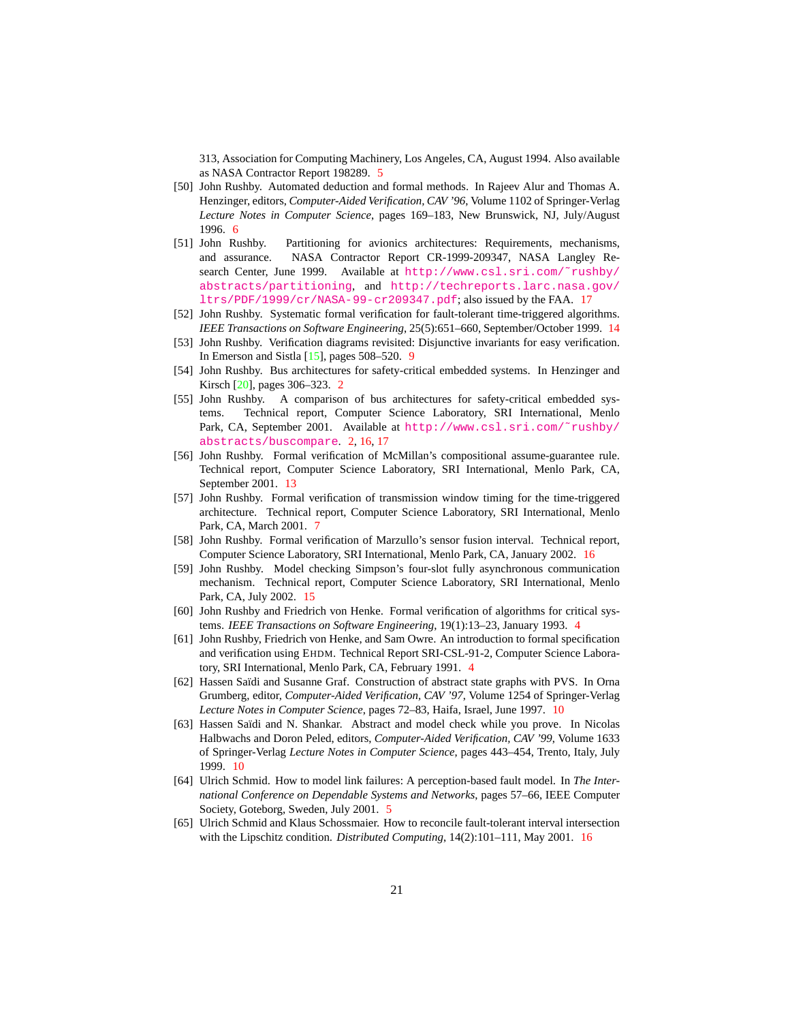<span id="page-20-16"></span>313, Association for Computing Machinery, Los Angeles, CA, August 1994. Also available as NASA Contractor Report 198289. [5](#page-4-0)

- <span id="page-20-5"></span>[50] John Rushby. Automated deduction and formal methods. In Rajeev Alur and Thomas A. Henzinger, editors, *Computer-Aided Verification, CAV '96*, Volume 1102 of Springer-Verlag *Lecture Notes in Computer Science*, pages 169–183, New Brunswick, NJ, July/August 1996. [6](#page-5-1)
- <span id="page-20-15"></span>[51] John Rushby. Partitioning for avionics architectures: Requirements, mechanisms, and assurance. NASA Contractor Report CR-1999-209347, NASA Langley Research Center, June 1999. Available at [http://www.csl.sri.com/˜rushby/](http://www.csl.sri.com/~rushby/abstracts/partitioning) [abstracts/partitioning](http://www.csl.sri.com/~rushby/abstracts/partitioning), and [http://techreports.larc.nasa.gov/](http://techreports.larc.nasa.gov/ltrs/PDF/1999/cr/NASA-99-cr209347.pdf) [ltrs/PDF/1999/cr/NASA-99-cr209347.pdf](http://techreports.larc.nasa.gov/ltrs/PDF/1999/cr/NASA-99-cr209347.pdf); also issued by the FAA. [17](#page-16-0)
- <span id="page-20-11"></span>[52] John Rushby. Systematic formal verification for fault-tolerant time-triggered algorithms. *IEEE Transactions on Software Engineering*, 25(5):651–660, September/October 1999. [14](#page-13-0)
- <span id="page-20-7"></span>[53] John Rushby. Verification diagrams revisited: Disjunctive invariants for easy verification. In Emerson and Sistla [[15\]](#page-18-17), pages 508–520. [9](#page-8-0)
- <span id="page-20-0"></span>[54] John Rushby. Bus architectures for safety-critical embedded systems. In Henzinger and Kirsch [[20\]](#page-18-15), pages 306–323. [2](#page-1-0)
- <span id="page-20-1"></span>[55] John Rushby. A comparison of bus architectures for safety-critical embedded systems. Technical report, Computer Science Laboratory, SRI International, Menlo Park, CA, September 2001. Available at [http://www.csl.sri.com/˜rushby/](http://www.csl.sri.com/~rushby/abstracts/buscompare) [abstracts/buscompare](http://www.csl.sri.com/~rushby/abstracts/buscompare). [2](#page-1-0), [16,](#page-15-0) [17](#page-16-0)
- <span id="page-20-10"></span>[56] John Rushby. Formal verification of McMillan's compositional assume-guarantee rule. Technical report, Computer Science Laboratory, SRI International, Menlo Park, CA, September 2001. [13](#page-12-1)
- <span id="page-20-6"></span>[57] John Rushby. Formal verification of transmission window timing for the time-triggered architecture. Technical report, Computer Science Laboratory, SRI International, Menlo Park, CA, March 2001. [7](#page-6-0)
- <span id="page-20-13"></span>[58] John Rushby. Formal verification of Marzullo's sensor fusion interval. Technical report, Computer Science Laboratory, SRI International, Menlo Park, CA, January 2002. [16](#page-15-0)
- <span id="page-20-12"></span>[59] John Rushby. Model checking Simpson's four-slot fully asynchronous communication mechanism. Technical report, Computer Science Laboratory, SRI International, Menlo Park, CA, July 2002. [15](#page-14-0)
- <span id="page-20-2"></span>[60] John Rushby and Friedrich von Henke. Formal verification of algorithms for critical systems. *IEEE Transactions on Software Engineering*, 19(1):13–23, January 1993. [4](#page-3-3)
- <span id="page-20-3"></span>[61] John Rushby, Friedrich von Henke, and Sam Owre. An introduction to formal specification and verification using EHDM. Technical Report SRI-CSL-91-2, Computer Science Laboratory, SRI International, Menlo Park, CA, February 1991. [4](#page-3-3)
- <span id="page-20-8"></span>[62] Hassen Saïdi and Susanne Graf. Construction of abstract state graphs with PVS. In Orna Grumberg, editor, *Computer-Aided Verification, CAV '97*, Volume 1254 of Springer-Verlag *Lecture Notes in Computer Science*, pages 72–83, Haifa, Israel, June 1997. [10](#page-9-1)
- <span id="page-20-9"></span>[63] Hassen Saïdi and N. Shankar. Abstract and model check while you prove. In Nicolas Halbwachs and Doron Peled, editors, *Computer-Aided Verification, CAV '99*, Volume 1633 of Springer-Verlag *Lecture Notes in Computer Science*, pages 443–454, Trento, Italy, July 1999. [10](#page-9-1)
- <span id="page-20-4"></span>[64] Ulrich Schmid. How to model link failures: A perception-based fault model. In *The International Conference on Dependable Systems and Networks*, pages 57–66, IEEE Computer Society, Goteborg, Sweden, July 2001. [5](#page-4-0)
- <span id="page-20-14"></span>[65] Ulrich Schmid and Klaus Schossmaier. How to reconcile fault-tolerant interval intersection with the Lipschitz condition. *Distributed Computing*, 14(2):101–111, May 2001. [16](#page-15-0)